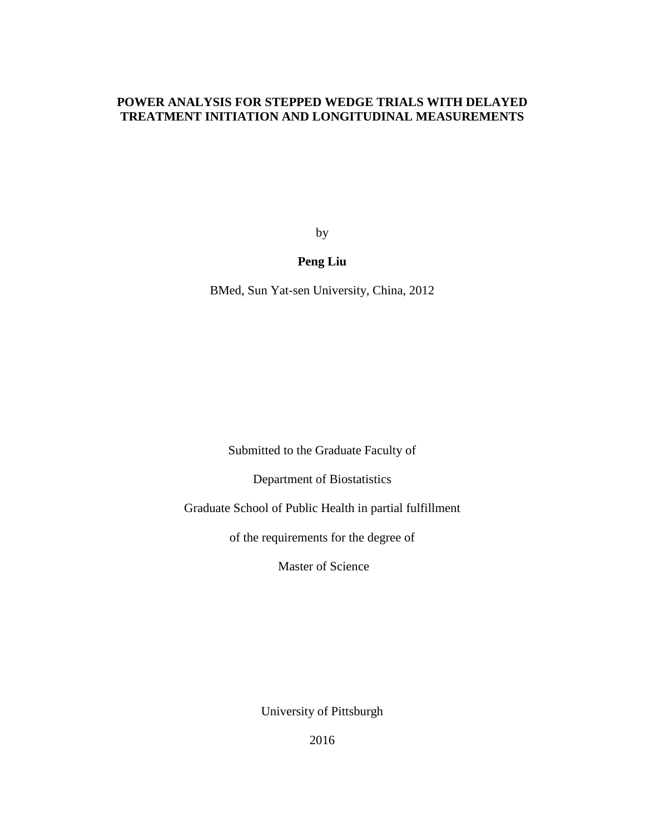# **POWER ANALYSIS FOR STEPPED WEDGE TRIALS WITH DELAYED TREATMENT INITIATION AND LONGITUDINAL MEASUREMENTS**

by

# **Peng Liu**

BMed, Sun Yat-sen University, China, 2012

Submitted to the Graduate Faculty of

Department of Biostatistics

Graduate School of Public Health in partial fulfillment

of the requirements for the degree of

Master of Science

University of Pittsburgh

2016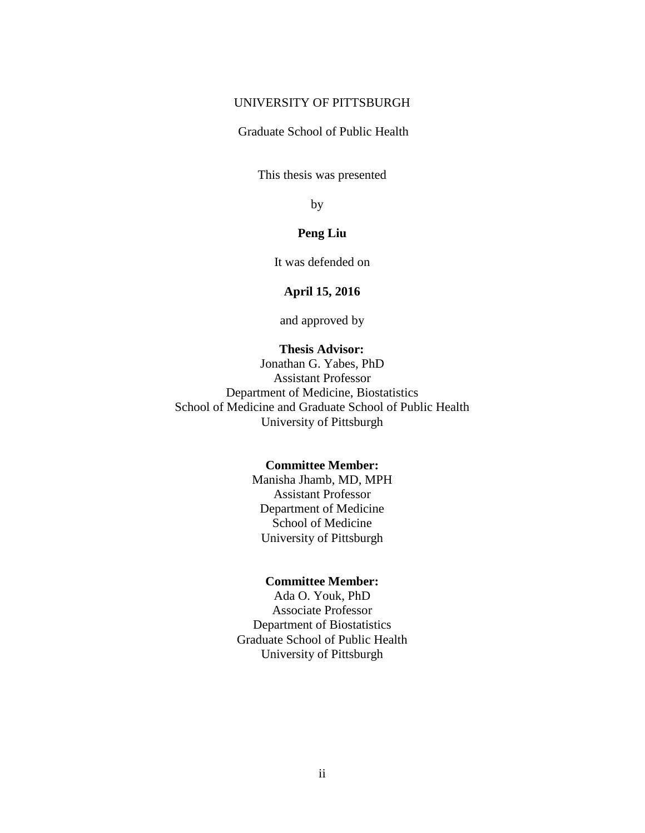#### UNIVERSITY OF PITTSBURGH

Graduate School of Public Health

This thesis was presented

by

# **Peng Liu**

It was defended on

## **April 15, 2016**

and approved by

# **Thesis Advisor:**

Jonathan G. Yabes, PhD Assistant Professor Department of Medicine, Biostatistics School of Medicine and Graduate School of Public Health University of Pittsburgh

## **Committee Member:**

Manisha Jhamb, MD, MPH Assistant Professor Department of Medicine School of Medicine University of Pittsburgh

## **Committee Member:**

Ada O. Youk, PhD Associate Professor Department of Biostatistics Graduate School of Public Health University of Pittsburgh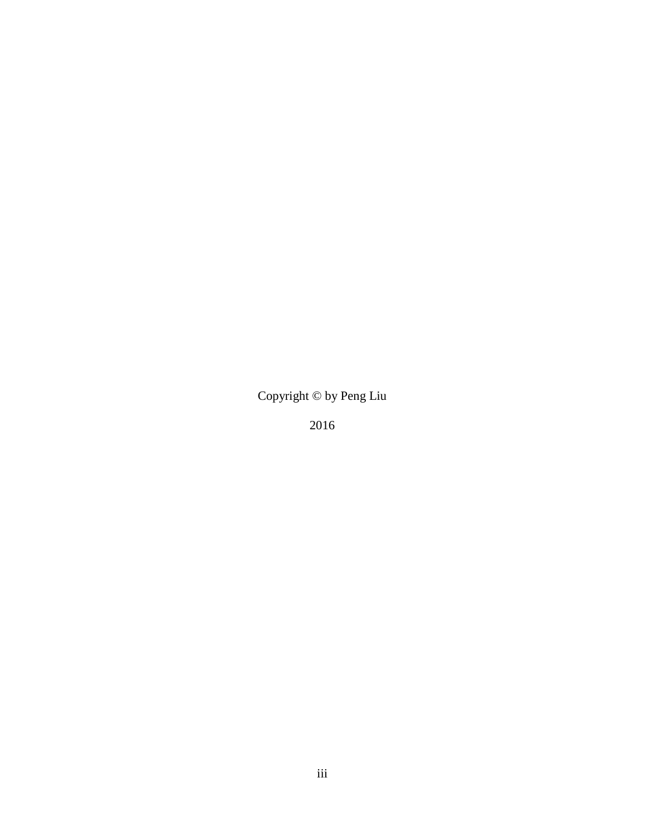Copyright © by Peng Liu

2016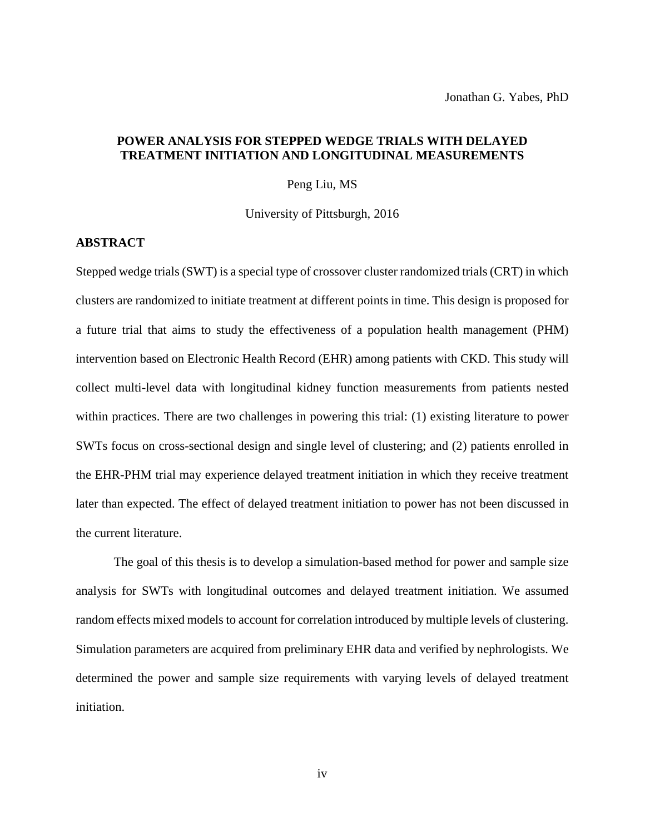# **POWER ANALYSIS FOR STEPPED WEDGE TRIALS WITH DELAYED TREATMENT INITIATION AND LONGITUDINAL MEASUREMENTS**

Peng Liu, MS

University of Pittsburgh, 2016

# **ABSTRACT**

Stepped wedge trials (SWT) is a special type of crossover cluster randomized trials(CRT) in which clusters are randomized to initiate treatment at different points in time. This design is proposed for a future trial that aims to study the effectiveness of a population health management (PHM) intervention based on Electronic Health Record (EHR) among patients with CKD. This study will collect multi-level data with longitudinal kidney function measurements from patients nested within practices. There are two challenges in powering this trial: (1) existing literature to power SWTs focus on cross-sectional design and single level of clustering; and (2) patients enrolled in the EHR-PHM trial may experience delayed treatment initiation in which they receive treatment later than expected. The effect of delayed treatment initiation to power has not been discussed in the current literature.

The goal of this thesis is to develop a simulation-based method for power and sample size analysis for SWTs with longitudinal outcomes and delayed treatment initiation. We assumed random effects mixed models to account for correlation introduced by multiple levels of clustering. Simulation parameters are acquired from preliminary EHR data and verified by nephrologists. We determined the power and sample size requirements with varying levels of delayed treatment initiation.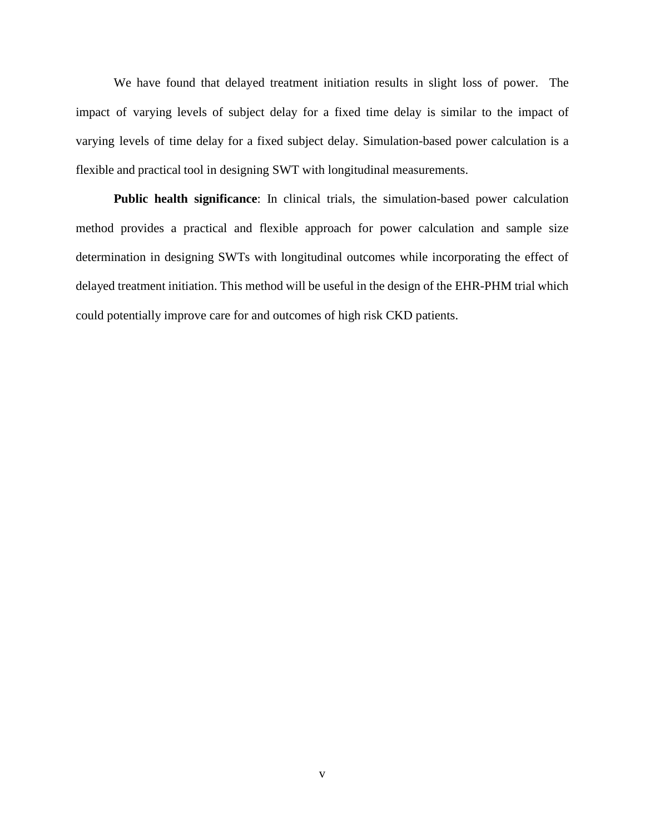We have found that delayed treatment initiation results in slight loss of power. The impact of varying levels of subject delay for a fixed time delay is similar to the impact of varying levels of time delay for a fixed subject delay. Simulation-based power calculation is a flexible and practical tool in designing SWT with longitudinal measurements.

**Public health significance**: In clinical trials, the simulation-based power calculation method provides a practical and flexible approach for power calculation and sample size determination in designing SWTs with longitudinal outcomes while incorporating the effect of delayed treatment initiation. This method will be useful in the design of the EHR-PHM trial which could potentially improve care for and outcomes of high risk CKD patients.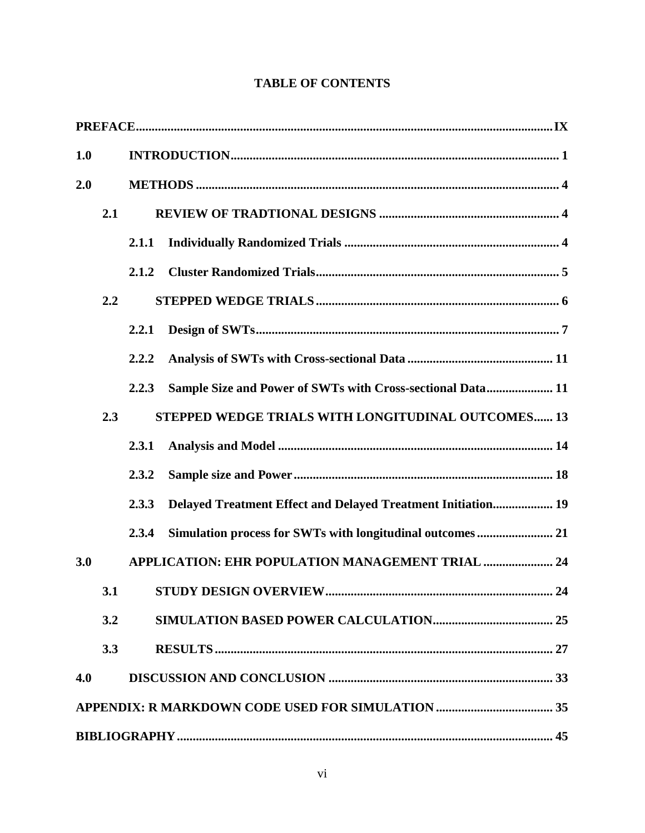| <b>TABLE OF CONTENTS</b> |
|--------------------------|
|--------------------------|

| 1.0 |     |                                                                       |  |  |  |  |
|-----|-----|-----------------------------------------------------------------------|--|--|--|--|
| 2.0 |     |                                                                       |  |  |  |  |
|     | 2.1 |                                                                       |  |  |  |  |
|     |     | 2.1.1                                                                 |  |  |  |  |
|     |     | 2.1.2                                                                 |  |  |  |  |
|     | 2.2 |                                                                       |  |  |  |  |
|     |     | 2.2.1                                                                 |  |  |  |  |
|     |     | 2.2.2                                                                 |  |  |  |  |
|     |     | Sample Size and Power of SWTs with Cross-sectional Data 11<br>2.2.3   |  |  |  |  |
|     | 2.3 | STEPPED WEDGE TRIALS WITH LONGITUDINAL OUTCOMES 13                    |  |  |  |  |
|     |     | 2.3.1                                                                 |  |  |  |  |
|     |     | 2.3.2                                                                 |  |  |  |  |
|     |     | Delayed Treatment Effect and Delayed Treatment Initiation 19<br>2.3.3 |  |  |  |  |
|     |     | 2.3.4                                                                 |  |  |  |  |
| 3.0 |     | APPLICATION: EHR POPULATION MANAGEMENT TRIAL  24                      |  |  |  |  |
|     | 3.1 | <b>STUDY DESIGN OVERVIEW</b><br>24                                    |  |  |  |  |
|     | 3.2 |                                                                       |  |  |  |  |
|     | 3.3 |                                                                       |  |  |  |  |
| 4.0 |     |                                                                       |  |  |  |  |
|     |     |                                                                       |  |  |  |  |
|     |     |                                                                       |  |  |  |  |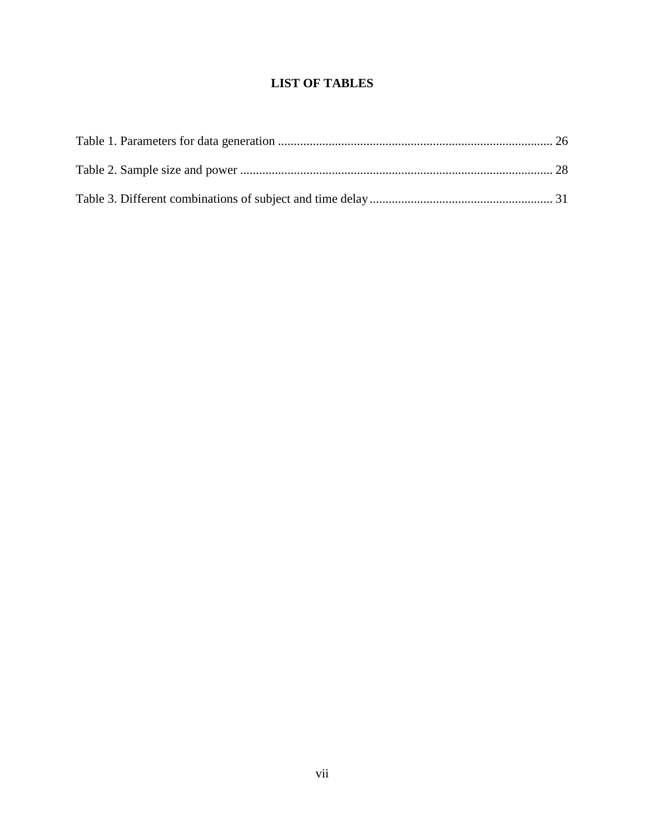# **LIST OF TABLES**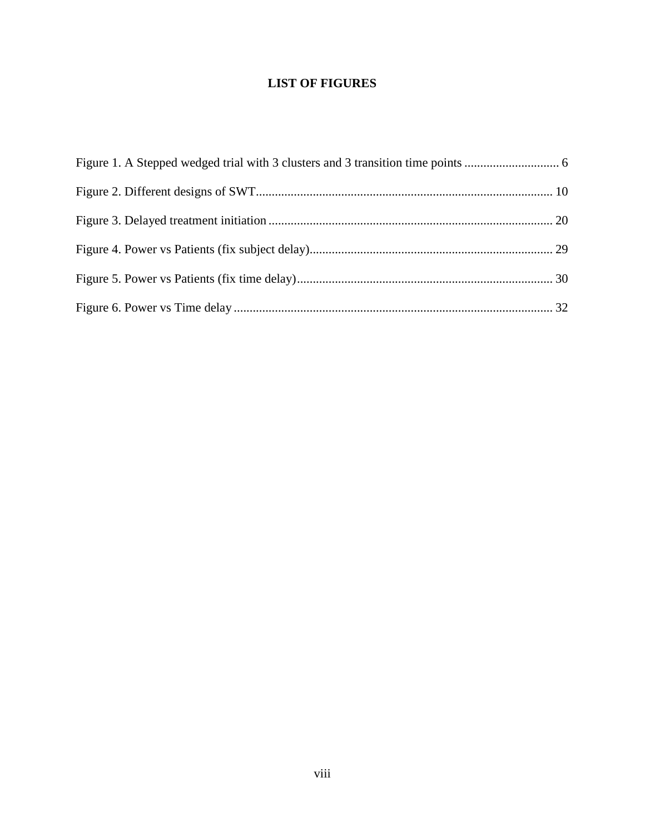# **LIST OF FIGURES**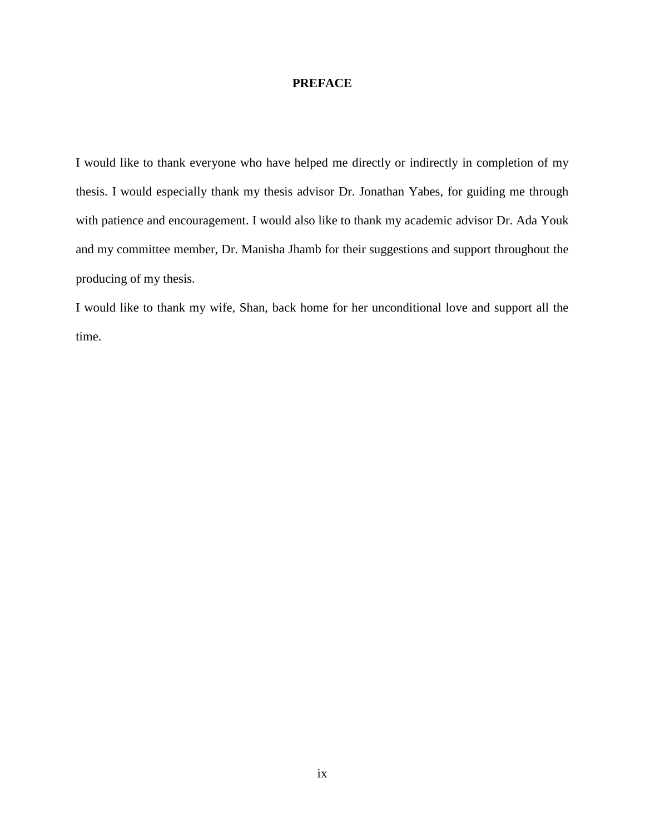# **PREFACE**

<span id="page-8-0"></span>I would like to thank everyone who have helped me directly or indirectly in completion of my thesis. I would especially thank my thesis advisor Dr. Jonathan Yabes, for guiding me through with patience and encouragement. I would also like to thank my academic advisor Dr. Ada Youk and my committee member, Dr. Manisha Jhamb for their suggestions and support throughout the producing of my thesis.

I would like to thank my wife, Shan, back home for her unconditional love and support all the time.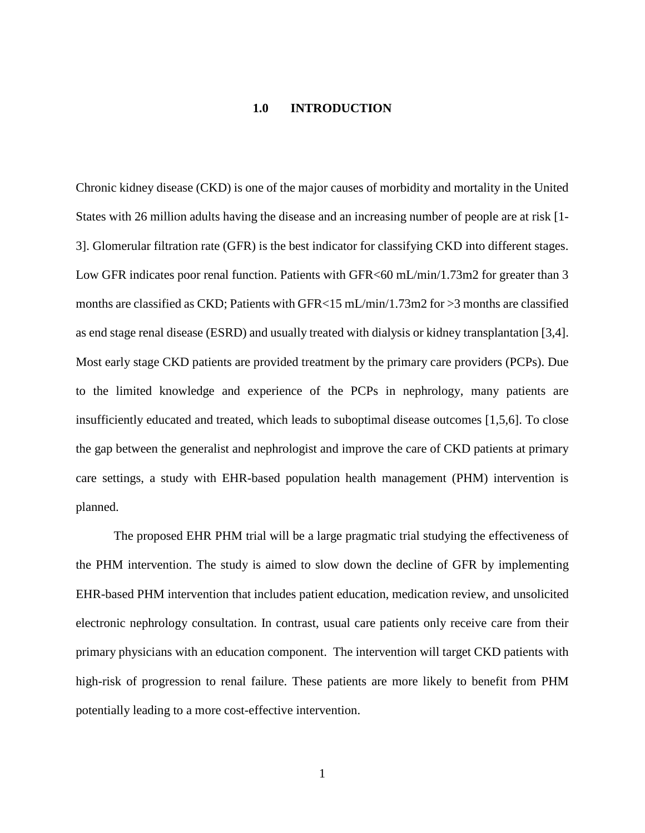#### **1.0 INTRODUCTION**

<span id="page-9-0"></span>Chronic kidney disease (CKD) is one of the major causes of morbidity and mortality in the United States with 26 million adults having the disease and an increasing number of people are at risk [1- 3]. Glomerular filtration rate (GFR) is the best indicator for classifying CKD into different stages. Low GFR indicates poor renal function. Patients with GFR<60 mL/min/1.73m2 for greater than 3 months are classified as CKD; Patients with GFR<15 mL/min/1.73m2 for >3 months are classified as end stage renal disease (ESRD) and usually treated with dialysis or kidney transplantation [3,4]. Most early stage CKD patients are provided treatment by the primary care providers (PCPs). Due to the limited knowledge and experience of the PCPs in nephrology, many patients are insufficiently educated and treated, which leads to suboptimal disease outcomes [1,5,6]. To close the gap between the generalist and nephrologist and improve the care of CKD patients at primary care settings, a study with EHR-based population health management (PHM) intervention is planned.

The proposed EHR PHM trial will be a large pragmatic trial studying the effectiveness of the PHM intervention. The study is aimed to slow down the decline of GFR by implementing EHR-based PHM intervention that includes patient education, medication review, and unsolicited electronic nephrology consultation. In contrast, usual care patients only receive care from their primary physicians with an education component. The intervention will target CKD patients with high-risk of progression to renal failure. These patients are more likely to benefit from PHM potentially leading to a more cost-effective intervention.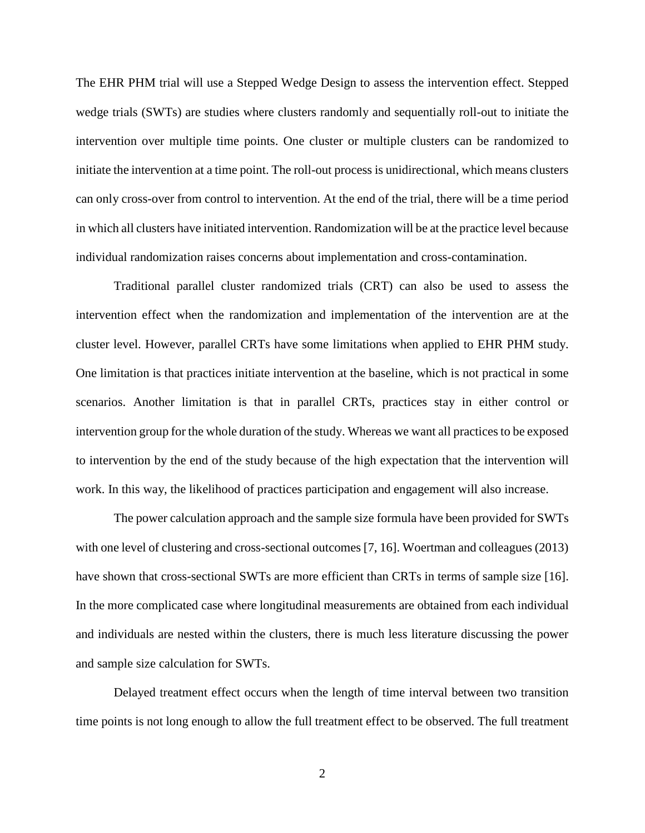The EHR PHM trial will use a Stepped Wedge Design to assess the intervention effect. Stepped wedge trials (SWTs) are studies where clusters randomly and sequentially roll-out to initiate the intervention over multiple time points. One cluster or multiple clusters can be randomized to initiate the intervention at a time point. The roll-out process is unidirectional, which means clusters can only cross-over from control to intervention. At the end of the trial, there will be a time period in which all clusters have initiated intervention. Randomization will be at the practice level because individual randomization raises concerns about implementation and cross-contamination.

Traditional parallel cluster randomized trials (CRT) can also be used to assess the intervention effect when the randomization and implementation of the intervention are at the cluster level. However, parallel CRTs have some limitations when applied to EHR PHM study. One limitation is that practices initiate intervention at the baseline, which is not practical in some scenarios. Another limitation is that in parallel CRTs, practices stay in either control or intervention group for the whole duration of the study. Whereas we want all practices to be exposed to intervention by the end of the study because of the high expectation that the intervention will work. In this way, the likelihood of practices participation and engagement will also increase.

The power calculation approach and the sample size formula have been provided for SWTs with one level of clustering and cross-sectional outcomes [7, 16]. Woertman and colleagues (2013) have shown that cross-sectional SWTs are more efficient than CRTs in terms of sample size [16]. In the more complicated case where longitudinal measurements are obtained from each individual and individuals are nested within the clusters, there is much less literature discussing the power and sample size calculation for SWTs.

Delayed treatment effect occurs when the length of time interval between two transition time points is not long enough to allow the full treatment effect to be observed. The full treatment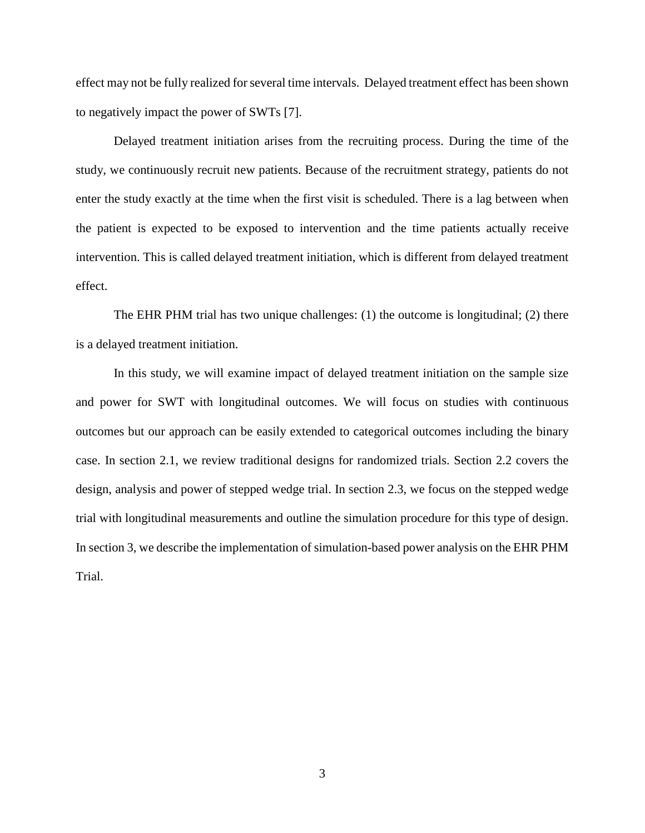effect may not be fully realized for several time intervals. Delayed treatment effect has been shown to negatively impact the power of SWTs [7].

Delayed treatment initiation arises from the recruiting process. During the time of the study, we continuously recruit new patients. Because of the recruitment strategy, patients do not enter the study exactly at the time when the first visit is scheduled. There is a lag between when the patient is expected to be exposed to intervention and the time patients actually receive intervention. This is called delayed treatment initiation, which is different from delayed treatment effect.

The EHR PHM trial has two unique challenges: (1) the outcome is longitudinal; (2) there is a delayed treatment initiation.

In this study, we will examine impact of delayed treatment initiation on the sample size and power for SWT with longitudinal outcomes. We will focus on studies with continuous outcomes but our approach can be easily extended to categorical outcomes including the binary case. In section 2.1, we review traditional designs for randomized trials. Section 2.2 covers the design, analysis and power of stepped wedge trial. In section 2.3, we focus on the stepped wedge trial with longitudinal measurements and outline the simulation procedure for this type of design. In section 3, we describe the implementation of simulation-based power analysis on the EHR PHM Trial.

3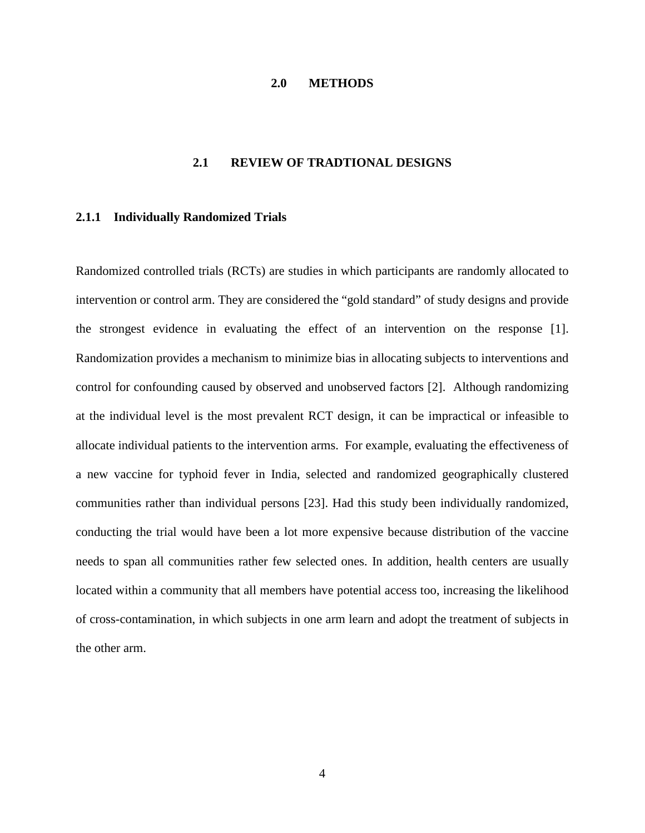## **2.0 METHODS**

# **2.1 REVIEW OF TRADTIONAL DESIGNS**

#### <span id="page-12-2"></span><span id="page-12-1"></span><span id="page-12-0"></span>**2.1.1 Individually Randomized Trials**

Randomized controlled trials (RCTs) are studies in which participants are randomly allocated to intervention or control arm. They are considered the "gold standard" of study designs and provide the strongest evidence in evaluating the effect of an intervention on the response [1]. Randomization provides a mechanism to minimize bias in allocating subjects to interventions and control for confounding caused by observed and unobserved factors [2]. Although randomizing at the individual level is the most prevalent RCT design, it can be impractical or infeasible to allocate individual patients to the intervention arms. For example, evaluating the effectiveness of a new vaccine for typhoid fever in India, selected and randomized geographically clustered communities rather than individual persons [23]. Had this study been individually randomized, conducting the trial would have been a lot more expensive because distribution of the vaccine needs to span all communities rather few selected ones. In addition, health centers are usually located within a community that all members have potential access too, increasing the likelihood of cross-contamination, in which subjects in one arm learn and adopt the treatment of subjects in the other arm.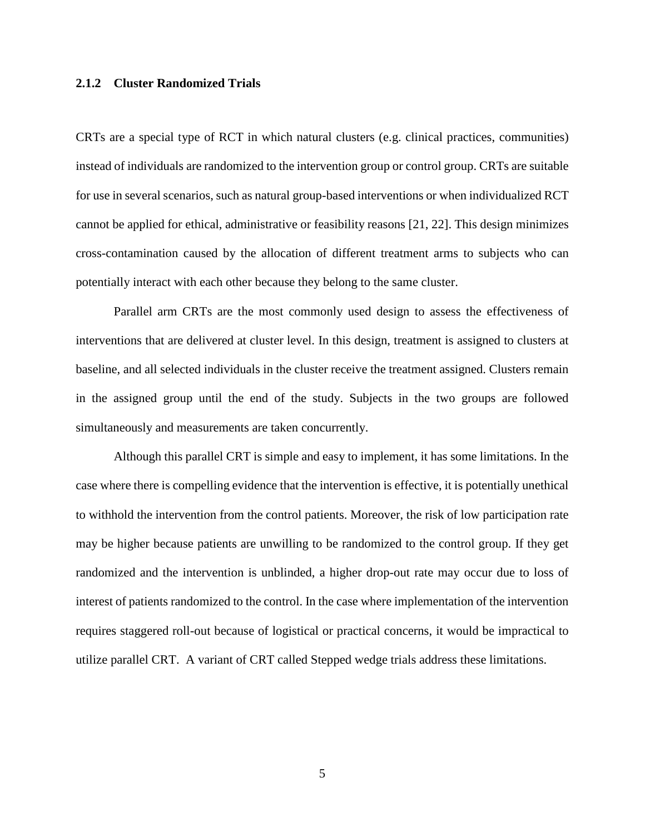#### <span id="page-13-0"></span>**2.1.2 Cluster Randomized Trials**

CRTs are a special type of RCT in which natural clusters (e.g. clinical practices, communities) instead of individuals are randomized to the intervention group or control group. CRTs are suitable for use in several scenarios, such as natural group-based interventions or when individualized RCT cannot be applied for ethical, administrative or feasibility reasons [21, 22]. This design minimizes cross-contamination caused by the allocation of different treatment arms to subjects who can potentially interact with each other because they belong to the same cluster.

Parallel arm CRTs are the most commonly used design to assess the effectiveness of interventions that are delivered at cluster level. In this design, treatment is assigned to clusters at baseline, and all selected individuals in the cluster receive the treatment assigned. Clusters remain in the assigned group until the end of the study. Subjects in the two groups are followed simultaneously and measurements are taken concurrently.

Although this parallel CRT is simple and easy to implement, it has some limitations. In the case where there is compelling evidence that the intervention is effective, it is potentially unethical to withhold the intervention from the control patients. Moreover, the risk of low participation rate may be higher because patients are unwilling to be randomized to the control group. If they get randomized and the intervention is unblinded, a higher drop-out rate may occur due to loss of interest of patients randomized to the control. In the case where implementation of the intervention requires staggered roll-out because of logistical or practical concerns, it would be impractical to utilize parallel CRT. A variant of CRT called Stepped wedge trials address these limitations.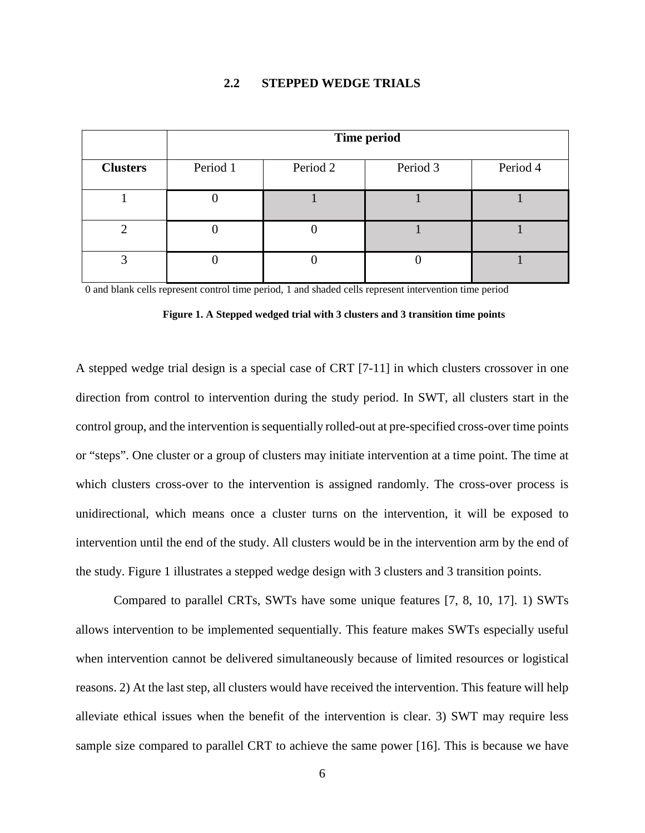# **2.2 STEPPED WEDGE TRIALS**

<span id="page-14-0"></span>

|                 | <b>Time period</b> |          |          |          |  |
|-----------------|--------------------|----------|----------|----------|--|
| <b>Clusters</b> | Period 1           | Period 2 | Period 3 | Period 4 |  |
|                 |                    |          |          |          |  |
|                 |                    |          |          |          |  |
| $\mathfrak{D}$  |                    |          |          |          |  |

<span id="page-14-1"></span>0 and blank cells represent control time period, 1 and shaded cells represent intervention time period

**Figure 1. A Stepped wedged trial with 3 clusters and 3 transition time points**

A stepped wedge trial design is a special case of CRT [7-11] in which clusters crossover in one direction from control to intervention during the study period. In SWT, all clusters start in the control group, and the intervention is sequentially rolled-out at pre-specified cross-over time points or "steps". One cluster or a group of clusters may initiate intervention at a time point. The time at which clusters cross-over to the intervention is assigned randomly. The cross-over process is unidirectional, which means once a cluster turns on the intervention, it will be exposed to intervention until the end of the study. All clusters would be in the intervention arm by the end of the study. Figure 1 illustrates a stepped wedge design with 3 clusters and 3 transition points.

Compared to parallel CRTs, SWTs have some unique features [7, 8, 10, 17]. 1) SWTs allows intervention to be implemented sequentially. This feature makes SWTs especially useful when intervention cannot be delivered simultaneously because of limited resources or logistical reasons. 2) At the last step, all clusters would have received the intervention. This feature will help alleviate ethical issues when the benefit of the intervention is clear. 3) SWT may require less sample size compared to parallel CRT to achieve the same power [16]. This is because we have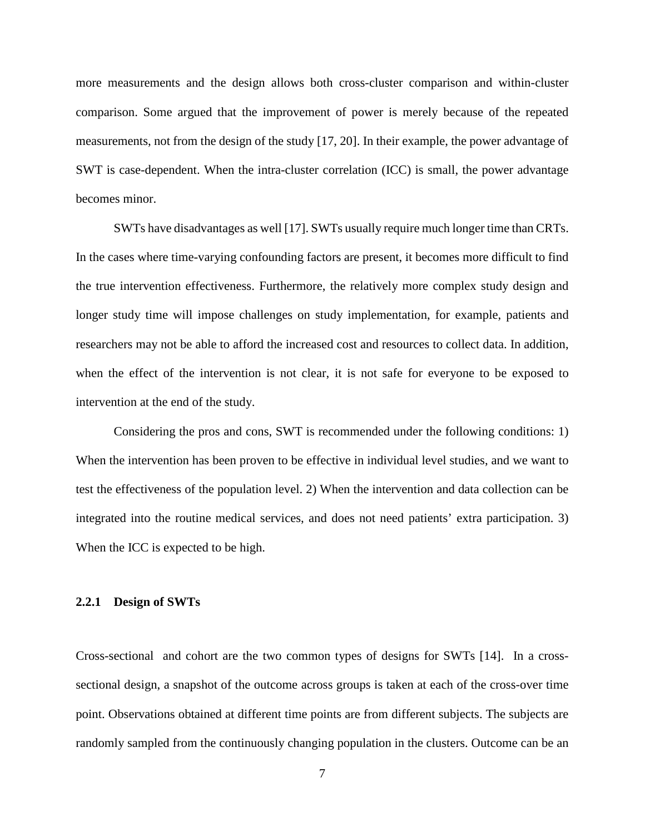more measurements and the design allows both cross-cluster comparison and within-cluster comparison. Some argued that the improvement of power is merely because of the repeated measurements, not from the design of the study [17, 20]. In their example, the power advantage of SWT is case-dependent. When the intra-cluster correlation (ICC) is small, the power advantage becomes minor.

SWTs have disadvantages as well [17]. SWTs usually require much longer time than CRTs. In the cases where time-varying confounding factors are present, it becomes more difficult to find the true intervention effectiveness. Furthermore, the relatively more complex study design and longer study time will impose challenges on study implementation, for example, patients and researchers may not be able to afford the increased cost and resources to collect data. In addition, when the effect of the intervention is not clear, it is not safe for everyone to be exposed to intervention at the end of the study.

Considering the pros and cons, SWT is recommended under the following conditions: 1) When the intervention has been proven to be effective in individual level studies, and we want to test the effectiveness of the population level. 2) When the intervention and data collection can be integrated into the routine medical services, and does not need patients' extra participation. 3) When the ICC is expected to be high.

#### <span id="page-15-0"></span>**2.2.1 Design of SWTs**

Cross-sectional and cohort are the two common types of designs for SWTs [14]. In a crosssectional design, a snapshot of the outcome across groups is taken at each of the cross-over time point. Observations obtained at different time points are from different subjects. The subjects are randomly sampled from the continuously changing population in the clusters. Outcome can be an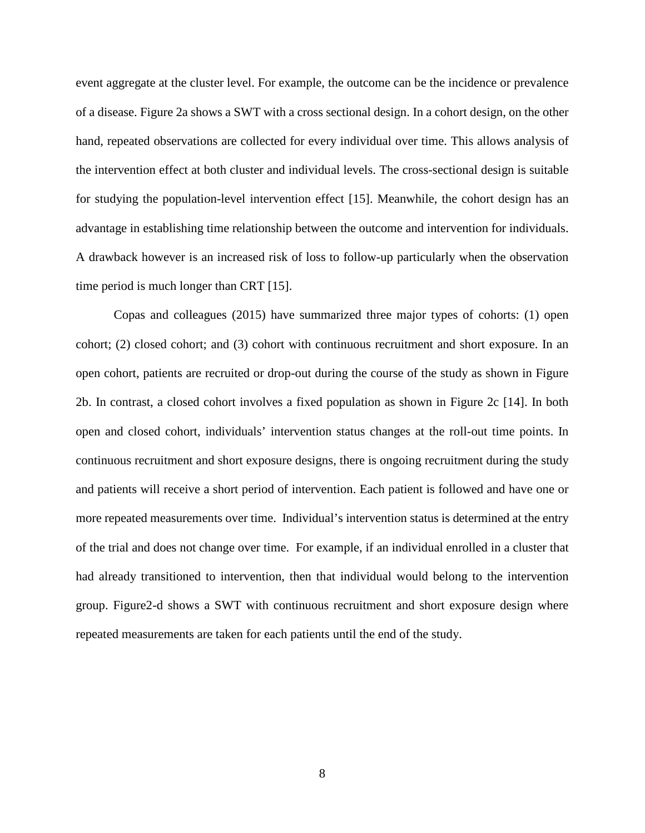event aggregate at the cluster level. For example, the outcome can be the incidence or prevalence of a disease. Figure 2a shows a SWT with a cross sectional design. In a cohort design, on the other hand, repeated observations are collected for every individual over time. This allows analysis of the intervention effect at both cluster and individual levels. The cross-sectional design is suitable for studying the population-level intervention effect [15]. Meanwhile, the cohort design has an advantage in establishing time relationship between the outcome and intervention for individuals. A drawback however is an increased risk of loss to follow-up particularly when the observation time period is much longer than CRT [15].

Copas and colleagues (2015) have summarized three major types of cohorts: (1) open cohort; (2) closed cohort; and (3) cohort with continuous recruitment and short exposure. In an open cohort, patients are recruited or drop-out during the course of the study as shown in Figure 2b. In contrast, a closed cohort involves a fixed population as shown in Figure 2c [14]. In both open and closed cohort, individuals' intervention status changes at the roll-out time points. In continuous recruitment and short exposure designs, there is ongoing recruitment during the study and patients will receive a short period of intervention. Each patient is followed and have one or more repeated measurements over time. Individual's intervention status is determined at the entry of the trial and does not change over time. For example, if an individual enrolled in a cluster that had already transitioned to intervention, then that individual would belong to the intervention group. Figure2-d shows a SWT with continuous recruitment and short exposure design where repeated measurements are taken for each patients until the end of the study.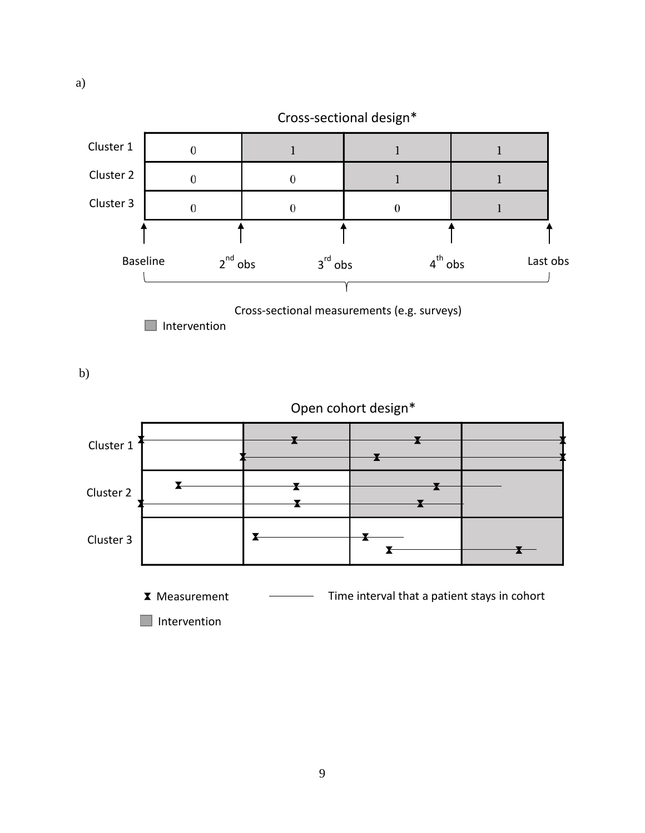

a)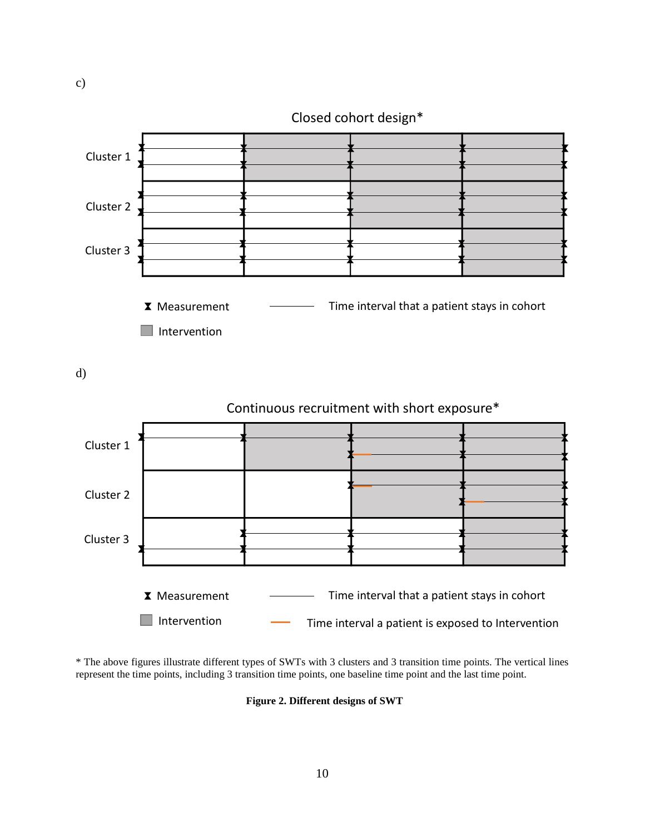

<span id="page-18-0"></span>\* The above figures illustrate different types of SWTs with 3 clusters and 3 transition time points. The vertical lines represent the time points, including 3 transition time points, one baseline time point and the last time point.

**Figure 2. Different designs of SWT**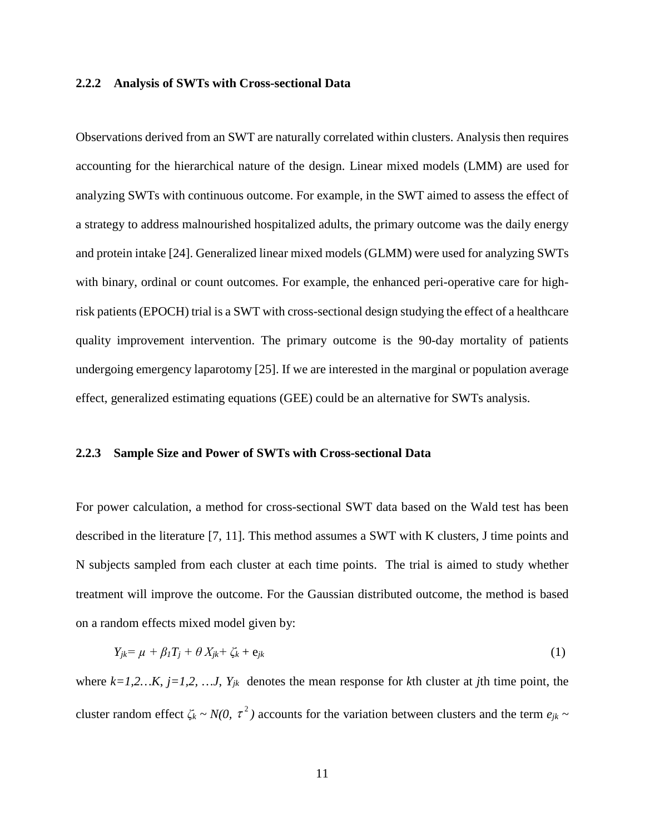#### <span id="page-19-0"></span>**2.2.2 Analysis of SWTs with Cross-sectional Data**

Observations derived from an SWT are naturally correlated within clusters. Analysis then requires accounting for the hierarchical nature of the design. Linear mixed models (LMM) are used for analyzing SWTs with continuous outcome. For example, in the SWT aimed to assess the effect of a strategy to address malnourished hospitalized adults, the primary outcome was the daily energy and protein intake [24]. Generalized linear mixed models (GLMM) were used for analyzing SWTs with binary, ordinal or count outcomes. For example, the enhanced peri-operative care for highrisk patients (EPOCH) trial is a SWT with cross-sectional design studying the effect of a healthcare quality improvement intervention. The primary outcome is the 90-day mortality of patients undergoing emergency laparotomy [25]. If we are interested in the marginal or population average effect, generalized estimating equations (GEE) could be an alternative for SWTs analysis.

#### <span id="page-19-1"></span>**2.2.3 Sample Size and Power of SWTs with Cross-sectional Data**

For power calculation, a method for cross-sectional SWT data based on the Wald test has been described in the literature [7, 11]. This method assumes a SWT with K clusters, J time points and N subjects sampled from each cluster at each time points. The trial is aimed to study whether treatment will improve the outcome. For the Gaussian distributed outcome, the method is based on a random effects mixed model given by:

$$
Y_{jk} = \mu + \beta_I T_j + \theta X_{jk} + \zeta_k + e_{jk}
$$
 (1)

where  $k=1,2...K$ ,  $j=1,2,...J$ ,  $Y_{jk}$  denotes the mean response for kth cluster at *j*th time point, the cluster random effect  $\zeta_k \sim N(0, \tau^2)$  accounts for the variation between clusters and the term  $e_{ik} \sim$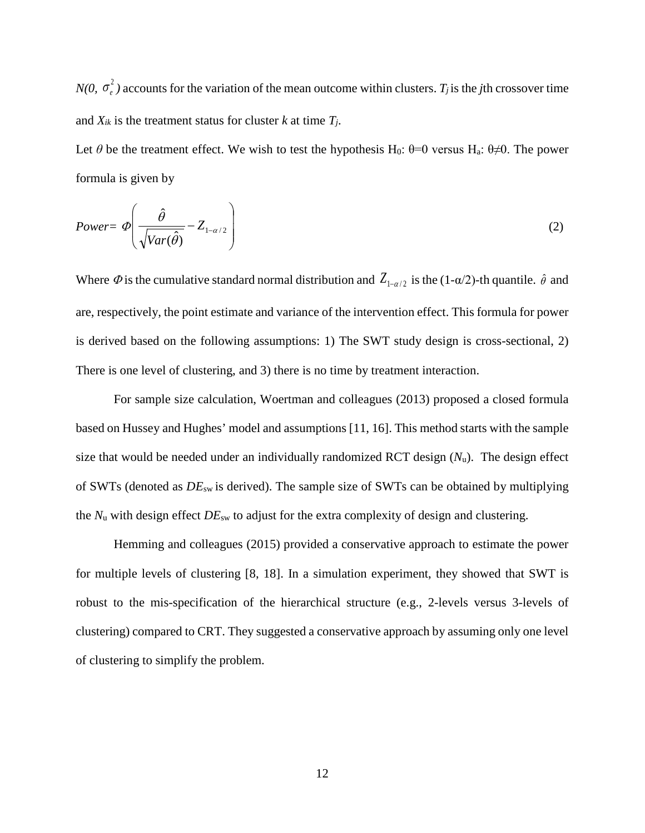$N(0, \sigma_e^2)$  accounts for the variation of the mean outcome within clusters. *T<sub>j</sub>* is the *j*th crossover time and  $X_{ik}$  is the treatment status for cluster  $k$  at time  $T_j$ .

Let  $\theta$  be the treatment effect. We wish to test the hypothesis H<sub>0</sub>:  $\theta$ =0 versus H<sub>a</sub>:  $\theta \neq 0$ . The power formula is given by

$$
Power = \Phi \left( \frac{\hat{\theta}}{\sqrt{Var(\hat{\theta})}} - Z_{1-\alpha/2} \right) \tag{2}
$$

Where  $\Phi$  is the cumulative standard normal distribution and  $Z_{1-\alpha/2}$  is the (1- $\alpha/2$ )-th quantile.  $\hat{\theta}$  and are, respectively, the point estimate and variance of the intervention effect. This formula for power is derived based on the following assumptions: 1) The SWT study design is cross-sectional, 2) There is one level of clustering, and 3) there is no time by treatment interaction.

For sample size calculation, Woertman and colleagues (2013) proposed a closed formula based on Hussey and Hughes' model and assumptions [11, 16]. This method starts with the sample size that would be needed under an individually randomized RCT design (*N*u). The design effect of SWTs (denoted as *DE*sw is derived). The sample size of SWTs can be obtained by multiplying the *N*<sup>u</sup> with design effect *DE*sw to adjust for the extra complexity of design and clustering.

Hemming and colleagues (2015) provided a conservative approach to estimate the power for multiple levels of clustering [8, 18]. In a simulation experiment, they showed that SWT is robust to the mis-specification of the hierarchical structure (e.g., 2-levels versus 3-levels of clustering) compared to CRT. They suggested a conservative approach by assuming only one level of clustering to simplify the problem.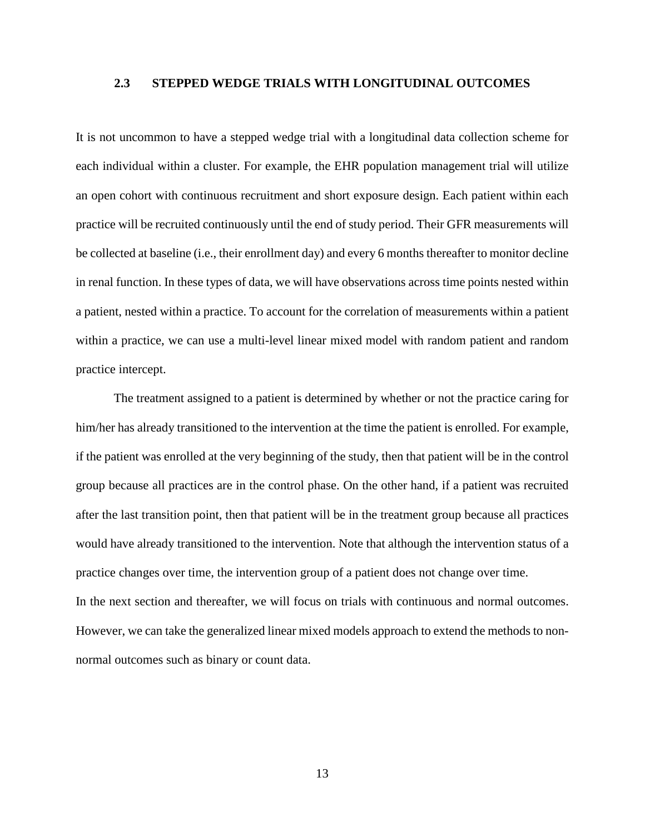## <span id="page-21-0"></span>**2.3 STEPPED WEDGE TRIALS WITH LONGITUDINAL OUTCOMES**

It is not uncommon to have a stepped wedge trial with a longitudinal data collection scheme for each individual within a cluster. For example, the EHR population management trial will utilize an open cohort with continuous recruitment and short exposure design. Each patient within each practice will be recruited continuously until the end of study period. Their GFR measurements will be collected at baseline (i.e., their enrollment day) and every 6 months thereafter to monitor decline in renal function. In these types of data, we will have observations across time points nested within a patient, nested within a practice. To account for the correlation of measurements within a patient within a practice, we can use a multi-level linear mixed model with random patient and random practice intercept.

The treatment assigned to a patient is determined by whether or not the practice caring for him/her has already transitioned to the intervention at the time the patient is enrolled. For example, if the patient was enrolled at the very beginning of the study, then that patient will be in the control group because all practices are in the control phase. On the other hand, if a patient was recruited after the last transition point, then that patient will be in the treatment group because all practices would have already transitioned to the intervention. Note that although the intervention status of a practice changes over time, the intervention group of a patient does not change over time. In the next section and thereafter, we will focus on trials with continuous and normal outcomes. However, we can take the generalized linear mixed models approach to extend the methods to nonnormal outcomes such as binary or count data.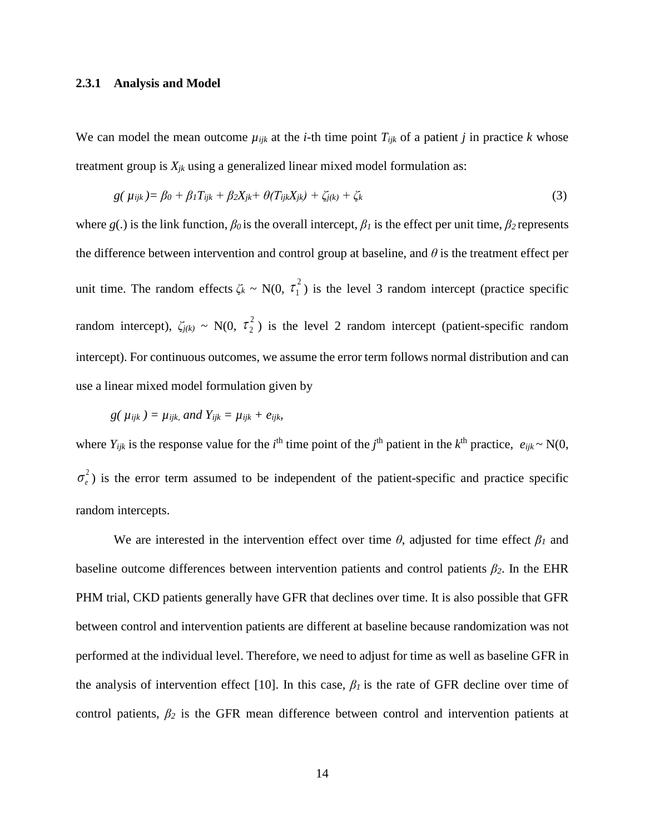#### <span id="page-22-0"></span>**2.3.1 Analysis and Model**

We can model the mean outcome  $\mu_{ijk}$  at the *i*-th time point  $T_{ijk}$  of a patient *j* in practice *k* whose treatment group is  $X_{ik}$  using a generalized linear mixed model formulation as:

$$
g(\mu_{ijk}) = \beta_0 + \beta_1 T_{ijk} + \beta_2 X_{jk} + \theta(T_{ijk} X_{jk}) + \zeta_{j(k)} + \zeta_k
$$
\n(3)

where  $g(.)$  is the link function,  $\beta_0$  is the overall intercept,  $\beta_1$  is the effect per unit time,  $\beta_2$  represents the difference between intervention and control group at baseline, and *θ* is the treatment effect per unit time. The random effects  $\zeta_k \sim N(0, \tau_1^2)$  is the level 3 random intercept (practice specific random intercept),  $\zeta_{j(k)} \sim N(0, \tau_2^2)$  is the level 2 random intercept (patient-specific random intercept). For continuous outcomes, we assume the error term follows normal distribution and can use a linear mixed model formulation given by

*g*( $\mu_{ijk}$ ) =  $\mu_{ijk}$ , *and*  $Y_{ijk} = \mu_{ijk} + e_{ijk}$ ,

where  $Y_{ijk}$  is the response value for the *i*<sup>th</sup> time point of the *j*<sup>th</sup> patient in the *k*<sup>th</sup> practice,  $e_{ijk} \sim N(0, 1)$  $\sigma_e^2$ ) is the error term assumed to be independent of the patient-specific and practice specific random intercepts.

We are interested in the intervention effect over time  $\theta$ , adjusted for time effect  $\beta_l$  and baseline outcome differences between intervention patients and control patients *β2*. In the EHR PHM trial, CKD patients generally have GFR that declines over time. It is also possible that GFR between control and intervention patients are different at baseline because randomization was not performed at the individual level. Therefore, we need to adjust for time as well as baseline GFR in the analysis of intervention effect [10]. In this case,  $\beta_l$  is the rate of GFR decline over time of control patients,  $\beta_2$  is the GFR mean difference between control and intervention patients at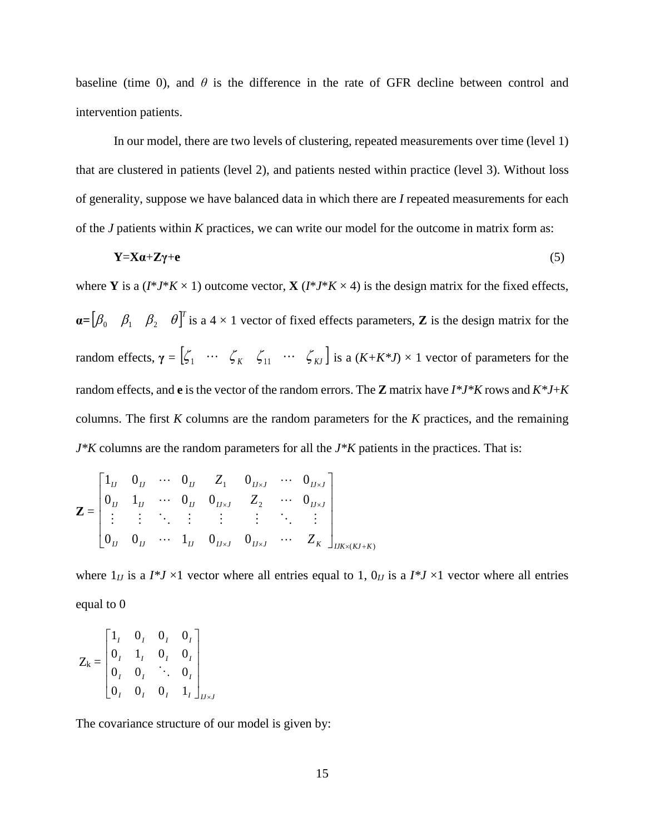baseline (time 0), and  $\theta$  is the difference in the rate of GFR decline between control and intervention patients.

In our model, there are two levels of clustering, repeated measurements over time (level 1) that are clustered in patients (level 2), and patients nested within practice (level 3). Without loss of generality, suppose we have balanced data in which there are *I* repeated measurements for each of the *J* patients within *K* practices, we can write our model for the outcome in matrix form as:

$$
Y = Xa + Zy + e \tag{5}
$$

where **Y** is a ( $I^*J^*K \times 1$ ) outcome vector, **X** ( $I^*J^*K \times 4$ ) is the design matrix for the fixed effects,  $\mathbf{a} = [\beta_0 \quad \beta_1 \quad \beta_2 \quad \theta]^T$  is a 4 × 1 vector of fixed effects parameters, **Z** is the design matrix for the random effects,  $\gamma = [\zeta_1 \cdots \zeta_K \zeta_{11} \cdots \zeta_K]$  is a  $(K+K^*J) \times 1$  vector of parameters for the random effects, and **e** is the vector of the random errors. The **Z** matrix have *I\*J\*K* rows and *K\*J*+*K* columns. The first *K* columns are the random parameters for the *K* practices, and the remaining *J\*K* columns are the random parameters for all the *J\*K* patients in the practices. That is:

$$
\mathbf{Z} = \begin{bmatrix} 1_{11} & 0_{11} & \cdots & 0_{11} & Z_1 & 0_{11} & \cdots & 0_{11} & Z_1 \\ 0_{11} & 1_{11} & \cdots & 0_{11} & 0_{11} & Z_2 & \cdots & 0_{11} & Z_1 \\ \vdots & \vdots & \ddots & \vdots & \vdots & \vdots & \ddots & \vdots \\ 0_{11} & 0_{11} & \cdots & 1_{11} & 0_{11} & Z_1 & \cdots & Z_K \end{bmatrix}_{IJK \times (KJ + K)}
$$

where  $1_{IJ}$  is a  $I^*J \times 1$  vector where all entries equal to 1,  $0_{IJ}$  is a  $I^*J \times 1$  vector where all entries equal to 0

$$
\mathbf{Z}_{k} = \begin{bmatrix} 1_{I} & 0_{I} & 0_{I} & 0_{I} \\ 0_{I} & 1_{I} & 0_{I} & 0_{I} \\ 0_{I} & 0_{I} & \ddots & 0_{I} \\ 0_{I} & 0_{I} & 0_{I} & 1_{I} \end{bmatrix}_{II \times J}
$$

The covariance structure of our model is given by: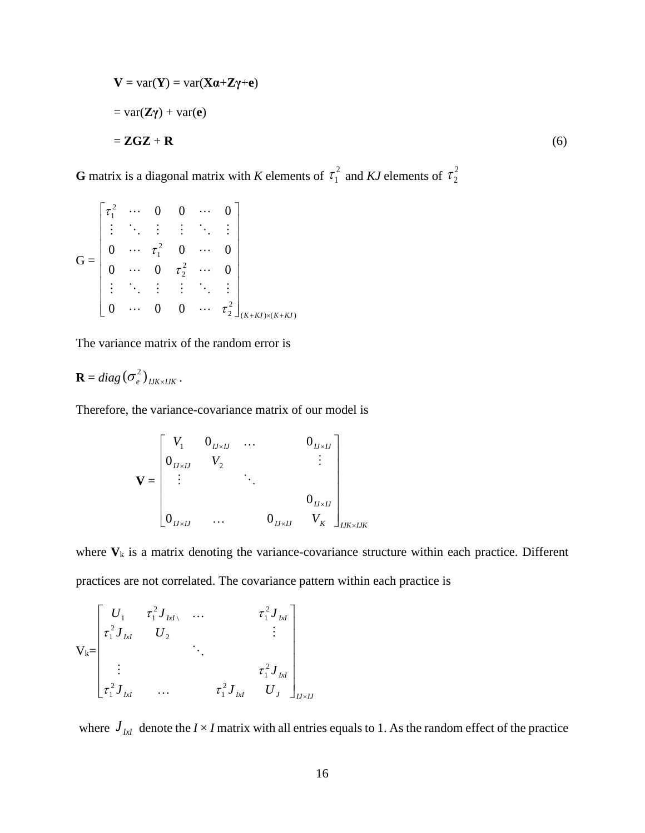$$
\mathbf{V} = \text{var}(\mathbf{Y}) = \text{var}(\mathbf{X}\mathbf{a} + \mathbf{Z}\mathbf{\gamma} + \mathbf{e})
$$
  
=  $\text{var}(\mathbf{Z}\mathbf{\gamma}) + \text{var}(\mathbf{e})$   
=  $\mathbf{Z} \mathbf{G} \mathbf{Z} + \mathbf{R}$  (6)

**G** matrix is a diagonal matrix with *K* elements of  $\tau_1^2$  and *KJ* elements of  $\tau_2^2$ 

$$
\mathbf{G} = \begin{bmatrix} \tau_1^2 & \cdots & 0 & 0 & \cdots & 0 \\ \vdots & \ddots & \vdots & \vdots & \ddots & \vdots \\ 0 & \cdots & \tau_1^2 & 0 & \cdots & 0 \\ 0 & \cdots & 0 & \tau_2^2 & \cdots & 0 \\ \vdots & \ddots & \vdots & \vdots & \ddots & \vdots \\ 0 & \cdots & 0 & 0 & \cdots & \tau_2^2 \end{bmatrix}_{(K+KJ)\times (K+KJ)}
$$

The variance matrix of the random error is

$$
\mathbf{R} = diag\left(\sigma_e^2\right)_{IJK\times IJK}.
$$

Therefore, the variance-covariance matrix of our model is

$$
\mathbf{V} = \begin{bmatrix} V_1 & 0_{11} & \dots & 0_{11} & 0_{11} \\ 0_{11} & V_2 & & & \vdots \\ \vdots & & \ddots & & \\ 0_{11} & & & & 0_{11} & 0 \\ 0_{11} & & & & & 0_{11} & 0 \\ 0_{11} & & & & & 0_{11} & 0 \\ 0_{11} & & & & & 0_{11} & 0 \\ 0_{11} & & & & & 0_{11} & 0 \\ 0_{11} & & & & & & 0 \\ 0_{11} & & & & & & 0 \\ 0_{11} & & & & & & 0 \\ 0_{11} & & & & & & 0 \\ 0_{11} & & & & & & 0 \\ 0_{11} & & & & & & 0 \\ 0_{11} & & & & & & 0 \\ 0_{11} & & & & & & 0 \\ 0_{11} & & & & & & 0 \\ 0_{11} & & & & & & 0 \\ 0_{11} & & & & & & 0 \\ 0_{11} & & & & & & 0 \\ 0_{11} & & & & & & 0 \\ 0_{11} & & & & & & 0 \\ 0_{11} & & & & & & 0 \\ 0_{11} & & & & & & 0 \\ 0_{11} & & & & & & 0 \\ 0_{11} & & & & & & 0 \\ 0_{11} & & & & & & 0 \\ 0_{11} & & & & & & 0 \\ 0_{11} & & & & & & 0 \\ 0_{11} & & & & & & 0 \\ 0_{11} & & & & & & 0 \\ 0_{11} & & & & & & 0 \\ 0_{11} & & & & & & 0 \\ 0_{11} & & & & & & 0 \\ 0_{11} & & & & & & 0 \\ 0_{11} & & & & & & 0 \\ 0_{11} & & & & & & 0 \\ 0_{11} & & & & & & 0 \\ 0_{11} & & & & & & 0 \\ 0_{11} & & & & & & 0 \\ 0_{11} & & & & & & 0 \\ 0_{11} & & & & & & 0 \\ 0_{11} & & & & & & 0 \\ 0_{11} & & & & & & 0 \\ 0_{11} & & & & & & 0 \\ 0_{11} & & & & & & 0 \\ 0_{11} & & & & & & 0 \\ 0
$$

where  $V_k$  is a matrix denoting the variance-covariance structure within each practice. Different practices are not correlated. The covariance pattern within each practice is

$$
\mathbf{V}_{k} = \begin{bmatrix} U_{1} & \tau_{1}^{2} J_{k l} & \cdots & \tau_{1}^{2} J_{k l} \\ \tau_{1}^{2} J_{k l} & U_{2} & & \vdots \\ \vdots & & \ddots & \\ \tau_{1}^{2} J_{k l} & \cdots & \tau_{1}^{2} J_{k l} & U_{j} \end{bmatrix}_{l l \times l l}
$$

where  $J_{IxI}$  denote the  $I \times I$  matrix with all entries equals to 1. As the random effect of the practice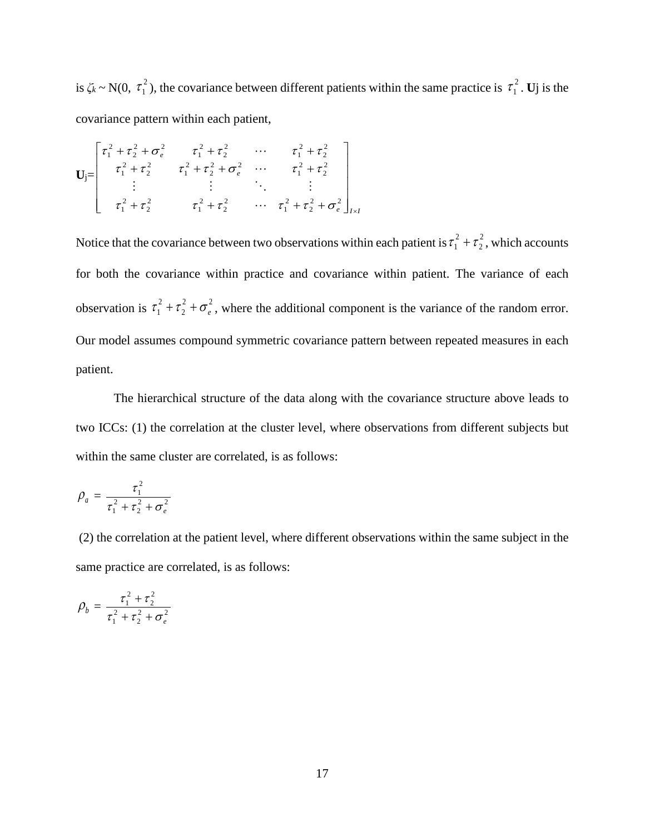is  $\zeta_k \sim N(0, \tau_1^2)$ , the covariance between different patients within the same practice is  $\tau_1^2$ . Uj is the covariance pattern within each patient,

$$
\mathbf{U}_{j} = \begin{bmatrix} \tau_1^2 + \tau_2^2 + \sigma_e^2 & \tau_1^2 + \tau_2^2 & \cdots & \tau_1^2 + \tau_2^2 \\ \tau_1^2 + \tau_2^2 & \tau_1^2 + \tau_2^2 + \sigma_e^2 & \cdots & \tau_1^2 + \tau_2^2 \\ \vdots & \vdots & \ddots & \vdots \\ \tau_1^2 + \tau_2^2 & \tau_1^2 + \tau_2^2 & \cdots & \tau_1^2 + \tau_2^2 + \sigma_e^2 \end{bmatrix}_{I \times I}
$$

Notice that the covariance between two observations within each patient is  $\tau_1^2+\tau_2^2$  $\tau_1^2 + \tau_2^2$ , which accounts for both the covariance within practice and covariance within patient. The variance of each observation is  $\tau_1^2 + \tau_2^2 + \sigma_e^2$  $\tau_1^2 + \tau_2^2 + \sigma_e^2$ , where the additional component is the variance of the random error. Our model assumes compound symmetric covariance pattern between repeated measures in each patient.

The hierarchical structure of the data along with the covariance structure above leads to two ICCs: (1) the correlation at the cluster level, where observations from different subjects but within the same cluster are correlated, is as follows:

$$
\rho_a = \frac{\tau_1^2}{\tau_1^2 + \tau_2^2 + \sigma_e^2}
$$

(2) the correlation at the patient level, where different observations within the same subject in the same practice are correlated, is as follows:

$$
\rho_b = \frac{\tau_1^2 + \tau_2^2}{\tau_1^2 + \tau_2^2 + \sigma_e^2}
$$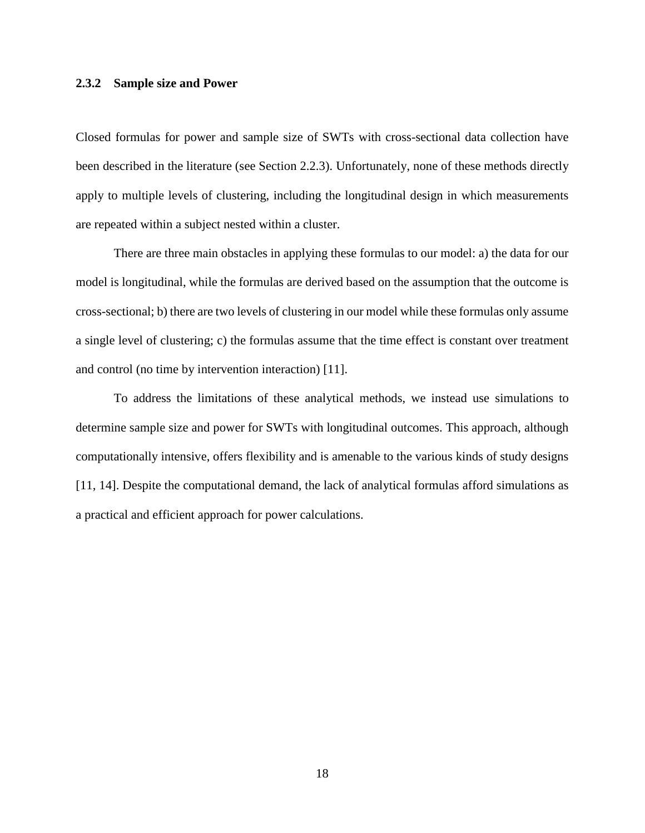#### <span id="page-26-0"></span>**2.3.2 Sample size and Power**

Closed formulas for power and sample size of SWTs with cross-sectional data collection have been described in the literature (see Section 2.2.3). Unfortunately, none of these methods directly apply to multiple levels of clustering, including the longitudinal design in which measurements are repeated within a subject nested within a cluster.

There are three main obstacles in applying these formulas to our model: a) the data for our model is longitudinal, while the formulas are derived based on the assumption that the outcome is cross-sectional; b) there are two levels of clustering in our model while these formulas only assume a single level of clustering; c) the formulas assume that the time effect is constant over treatment and control (no time by intervention interaction) [11].

To address the limitations of these analytical methods, we instead use simulations to determine sample size and power for SWTs with longitudinal outcomes. This approach, although computationally intensive, offers flexibility and is amenable to the various kinds of study designs [11, 14]. Despite the computational demand, the lack of analytical formulas afford simulations as a practical and efficient approach for power calculations.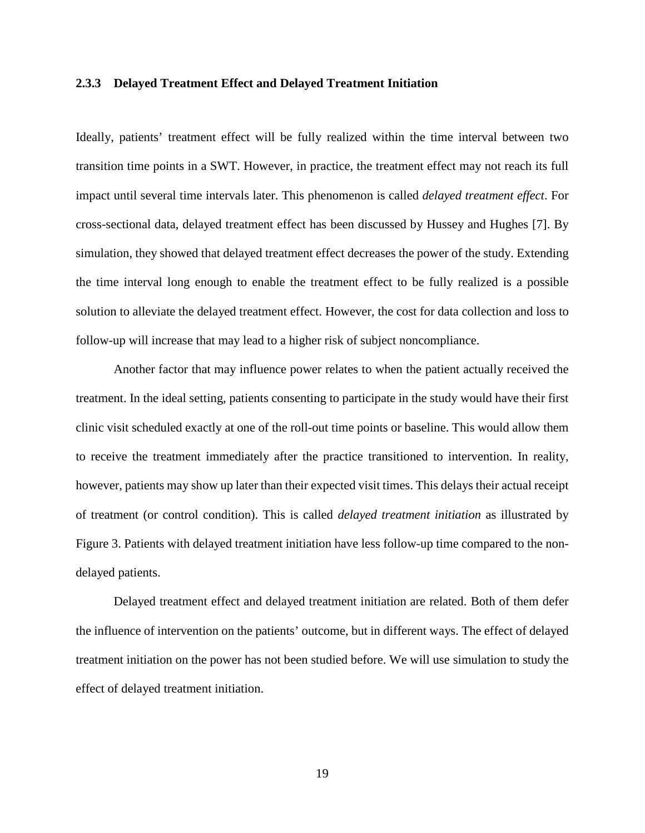#### <span id="page-27-0"></span>**2.3.3 Delayed Treatment Effect and Delayed Treatment Initiation**

Ideally, patients' treatment effect will be fully realized within the time interval between two transition time points in a SWT. However, in practice, the treatment effect may not reach its full impact until several time intervals later. This phenomenon is called *delayed treatment effect*. For cross-sectional data, delayed treatment effect has been discussed by Hussey and Hughes [7]. By simulation, they showed that delayed treatment effect decreases the power of the study. Extending the time interval long enough to enable the treatment effect to be fully realized is a possible solution to alleviate the delayed treatment effect. However, the cost for data collection and loss to follow-up will increase that may lead to a higher risk of subject noncompliance.

Another factor that may influence power relates to when the patient actually received the treatment. In the ideal setting, patients consenting to participate in the study would have their first clinic visit scheduled exactly at one of the roll-out time points or baseline. This would allow them to receive the treatment immediately after the practice transitioned to intervention. In reality, however, patients may show up later than their expected visit times. This delays their actual receipt of treatment (or control condition). This is called *delayed treatment initiation* as illustrated by Figure 3. Patients with delayed treatment initiation have less follow-up time compared to the nondelayed patients.

Delayed treatment effect and delayed treatment initiation are related. Both of them defer the influence of intervention on the patients' outcome, but in different ways. The effect of delayed treatment initiation on the power has not been studied before. We will use simulation to study the effect of delayed treatment initiation.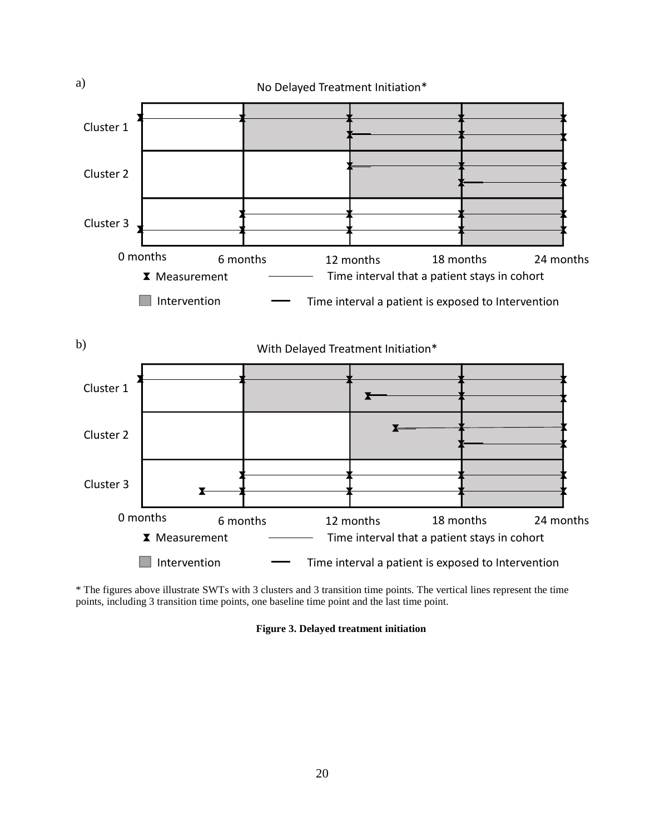

<span id="page-28-0"></span>\* The figures above illustrate SWTs with 3 clusters and 3 transition time points. The vertical lines represent the time points, including 3 transition time points, one baseline time point and the last time point.

**Figure 3. Delayed treatment initiation**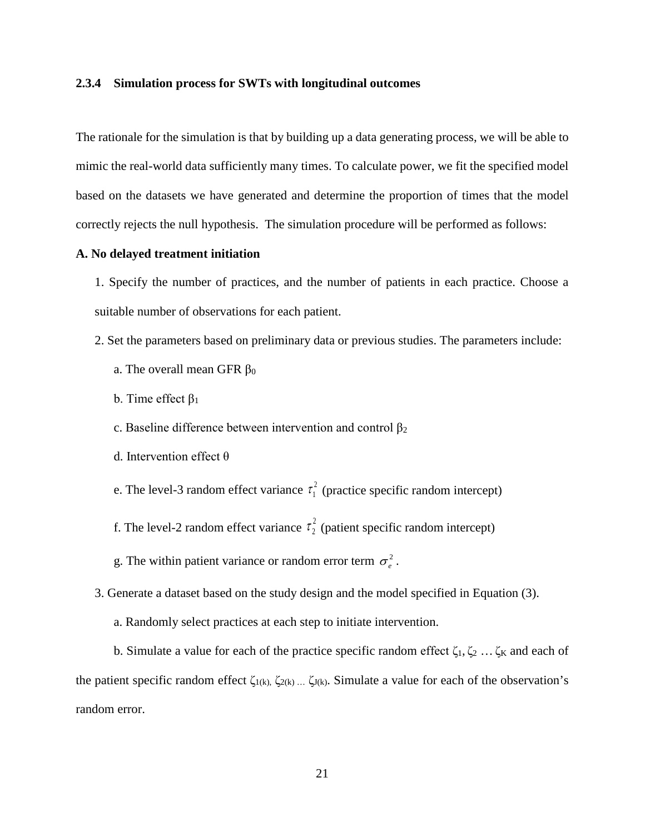#### <span id="page-29-0"></span>**2.3.4 Simulation process for SWTs with longitudinal outcomes**

The rationale for the simulation is that by building up a data generating process, we will be able to mimic the real-world data sufficiently many times. To calculate power, we fit the specified model based on the datasets we have generated and determine the proportion of times that the model correctly rejects the null hypothesis. The simulation procedure will be performed as follows:

#### **A. No delayed treatment initiation**

- 1. Specify the number of practices, and the number of patients in each practice. Choose a suitable number of observations for each patient.
- 2. Set the parameters based on preliminary data or previous studies. The parameters include:
	- a. The overall mean GFR  $β_0$
	- b. Time effect  $β<sub>1</sub>$
	- c. Baseline difference between intervention and control  $\beta_2$
	- d. Intervention effect θ
	- e. The level-3 random effect variance  $\tau_1^2$  (practice specific random intercept)
	- f. The level-2 random effect variance  $\tau_2^2$  (patient specific random intercept)
	- g. The within patient variance or random error term  $\sigma_e^2$ .
- 3. Generate a dataset based on the study design and the model specified in Equation (3).
	- a. Randomly select practices at each step to initiate intervention.

b. Simulate a value for each of the practice specific random effect  $\zeta_1, \zeta_2, \ldots, \zeta_K$  and each of the patient specific random effect  $\zeta_{1(k)}$ ,  $\zeta_{2(k)}$  ...  $\zeta_{J(k)}$ . Simulate a value for each of the observation's random error.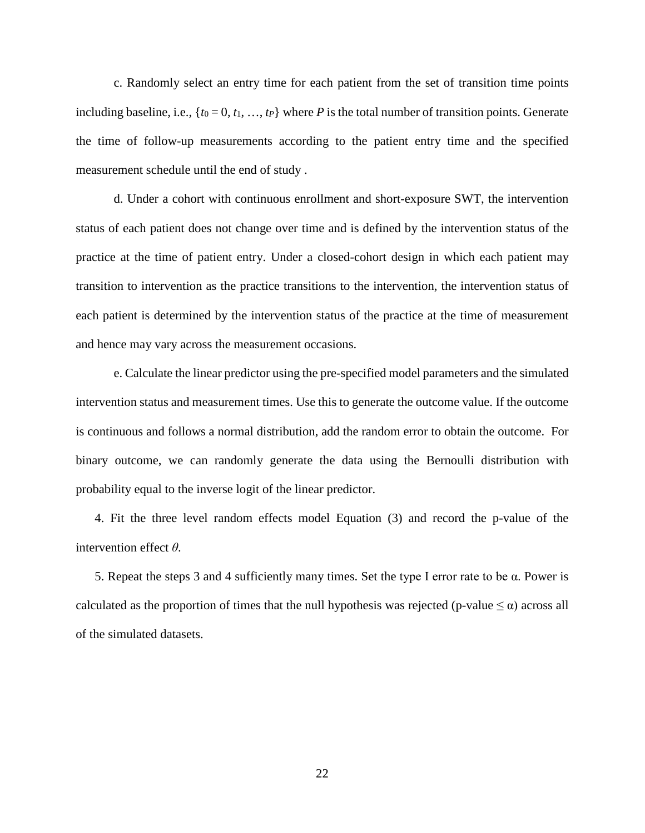c. Randomly select an entry time for each patient from the set of transition time points including baseline, i.e.,  $\{t_0 = 0, t_1, ..., t_P\}$  where *P* is the total number of transition points. Generate the time of follow-up measurements according to the patient entry time and the specified measurement schedule until the end of study .

d. Under a cohort with continuous enrollment and short-exposure SWT, the intervention status of each patient does not change over time and is defined by the intervention status of the practice at the time of patient entry. Under a closed-cohort design in which each patient may transition to intervention as the practice transitions to the intervention, the intervention status of each patient is determined by the intervention status of the practice at the time of measurement and hence may vary across the measurement occasions.

e. Calculate the linear predictor using the pre-specified model parameters and the simulated intervention status and measurement times. Use this to generate the outcome value. If the outcome is continuous and follows a normal distribution, add the random error to obtain the outcome. For binary outcome, we can randomly generate the data using the Bernoulli distribution with probability equal to the inverse logit of the linear predictor.

4. Fit the three level random effects model Equation (3) and record the p-value of the intervention effect *θ*.

5. Repeat the steps 3 and 4 sufficiently many times. Set the type I error rate to be α. Power is calculated as the proportion of times that the null hypothesis was rejected (p-value  $\leq \alpha$ ) across all of the simulated datasets.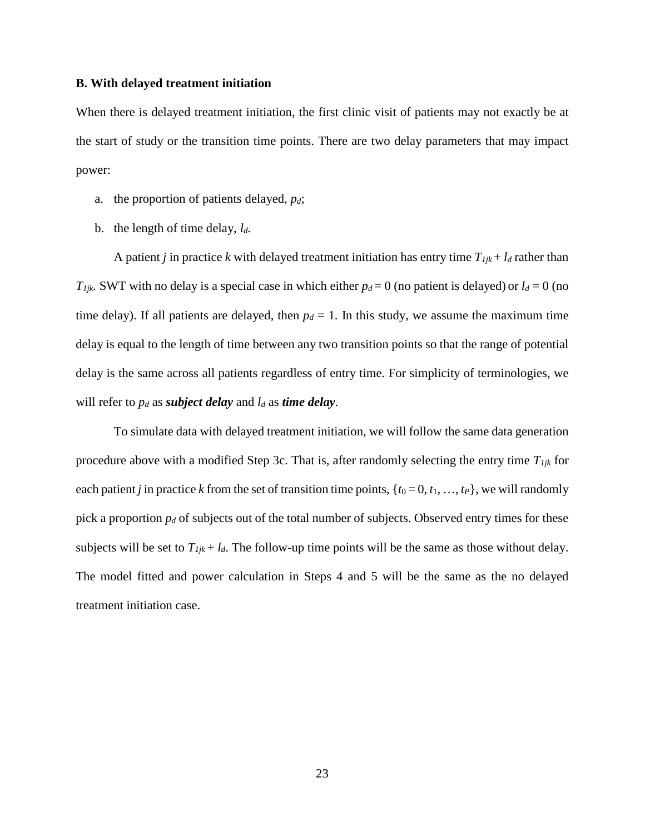#### **B. With delayed treatment initiation**

When there is delayed treatment initiation, the first clinic visit of patients may not exactly be at the start of study or the transition time points. There are two delay parameters that may impact power:

- a. the proportion of patients delayed, *pd*;
- b. the length of time delay, *ld.*

A patient *j* in practice *k* with delayed treatment initiation has entry time  $T_{1jk} + l_d$  rather than *T<sub>1jk</sub>*. SWT with no delay is a special case in which either  $p_d = 0$  (no patient is delayed) or  $l_d = 0$  (no time delay). If all patients are delayed, then  $p_d = 1$ . In this study, we assume the maximum time delay is equal to the length of time between any two transition points so that the range of potential delay is the same across all patients regardless of entry time. For simplicity of terminologies, we will refer to  $p_d$  as *subject delay* and  $l_d$  as *time delay*.

To simulate data with delayed treatment initiation, we will follow the same data generation procedure above with a modified Step 3c. That is, after randomly selecting the entry time *T1jk* for each patient *j* in practice *k* from the set of transition time points,  $\{t_0 = 0, t_1, ..., t_P\}$ , we will randomly pick a proportion *pd* of subjects out of the total number of subjects. Observed entry times for these subjects will be set to  $T_{ijk} + l_d$ . The follow-up time points will be the same as those without delay. The model fitted and power calculation in Steps 4 and 5 will be the same as the no delayed treatment initiation case.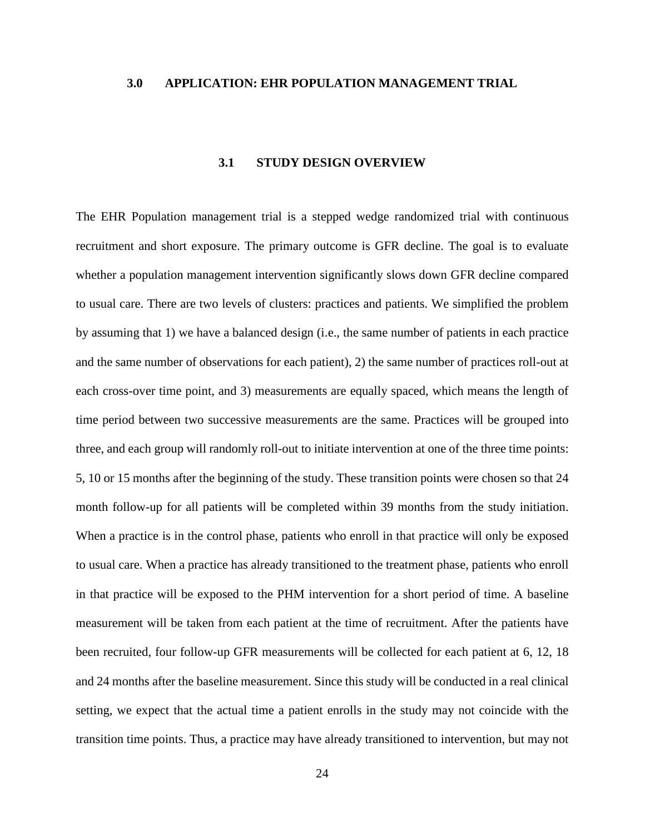#### <span id="page-32-0"></span>**3.0 APPLICATION: EHR POPULATION MANAGEMENT TRIAL**

# **3.1 STUDY DESIGN OVERVIEW**

<span id="page-32-1"></span>The EHR Population management trial is a stepped wedge randomized trial with continuous recruitment and short exposure. The primary outcome is GFR decline. The goal is to evaluate whether a population management intervention significantly slows down GFR decline compared to usual care. There are two levels of clusters: practices and patients. We simplified the problem by assuming that 1) we have a balanced design (i.e., the same number of patients in each practice and the same number of observations for each patient), 2) the same number of practices roll-out at each cross-over time point, and 3) measurements are equally spaced, which means the length of time period between two successive measurements are the same. Practices will be grouped into three, and each group will randomly roll-out to initiate intervention at one of the three time points: 5, 10 or 15 months after the beginning of the study. These transition points were chosen so that 24 month follow-up for all patients will be completed within 39 months from the study initiation. When a practice is in the control phase, patients who enroll in that practice will only be exposed to usual care. When a practice has already transitioned to the treatment phase, patients who enroll in that practice will be exposed to the PHM intervention for a short period of time. A baseline measurement will be taken from each patient at the time of recruitment. After the patients have been recruited, four follow-up GFR measurements will be collected for each patient at 6, 12, 18 and 24 months after the baseline measurement. Since this study will be conducted in a real clinical setting, we expect that the actual time a patient enrolls in the study may not coincide with the transition time points. Thus, a practice may have already transitioned to intervention, but may not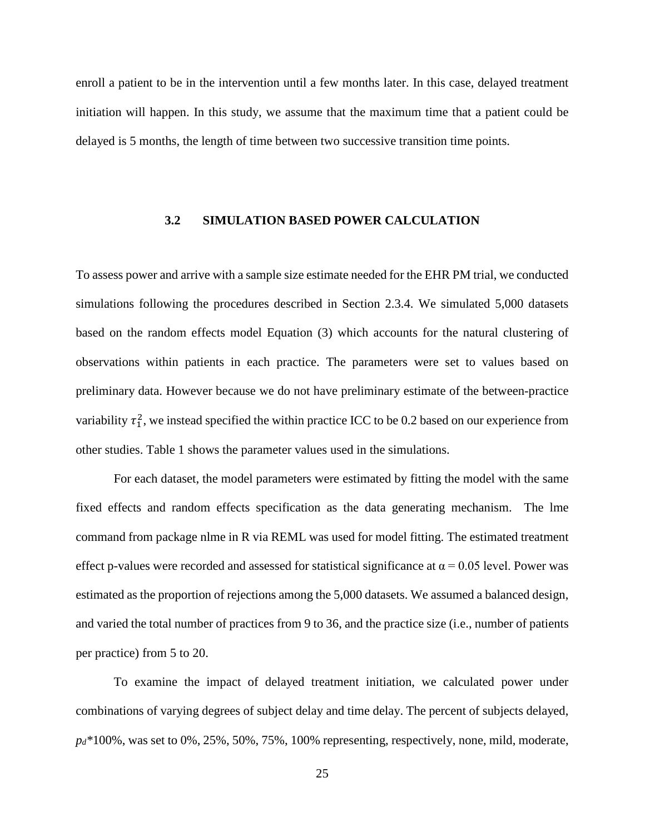<span id="page-33-0"></span>enroll a patient to be in the intervention until a few months later. In this case, delayed treatment initiation will happen. In this study, we assume that the maximum time that a patient could be delayed is 5 months, the length of time between two successive transition time points.

#### **3.2 SIMULATION BASED POWER CALCULATION**

To assess power and arrive with a sample size estimate needed for the EHR PM trial, we conducted simulations following the procedures described in Section 2.3.4. We simulated 5,000 datasets based on the random effects model Equation (3) which accounts for the natural clustering of observations within patients in each practice. The parameters were set to values based on preliminary data. However because we do not have preliminary estimate of the between-practice variability  $\tau_1^2$ , we instead specified the within practice ICC to be 0.2 based on our experience from other studies. Table 1 shows the parameter values used in the simulations.

For each dataset, the model parameters were estimated by fitting the model with the same fixed effects and random effects specification as the data generating mechanism. The lme command from package nlme in R via REML was used for model fitting. The estimated treatment effect p-values were recorded and assessed for statistical significance at  $\alpha$  = 0.05 level. Power was estimated as the proportion of rejections among the 5,000 datasets. We assumed a balanced design, and varied the total number of practices from 9 to 36, and the practice size (i.e., number of patients per practice) from 5 to 20.

To examine the impact of delayed treatment initiation, we calculated power under combinations of varying degrees of subject delay and time delay. The percent of subjects delayed, *pd\**100%, was set to 0%, 25%, 50%, 75%, 100% representing, respectively, none, mild, moderate,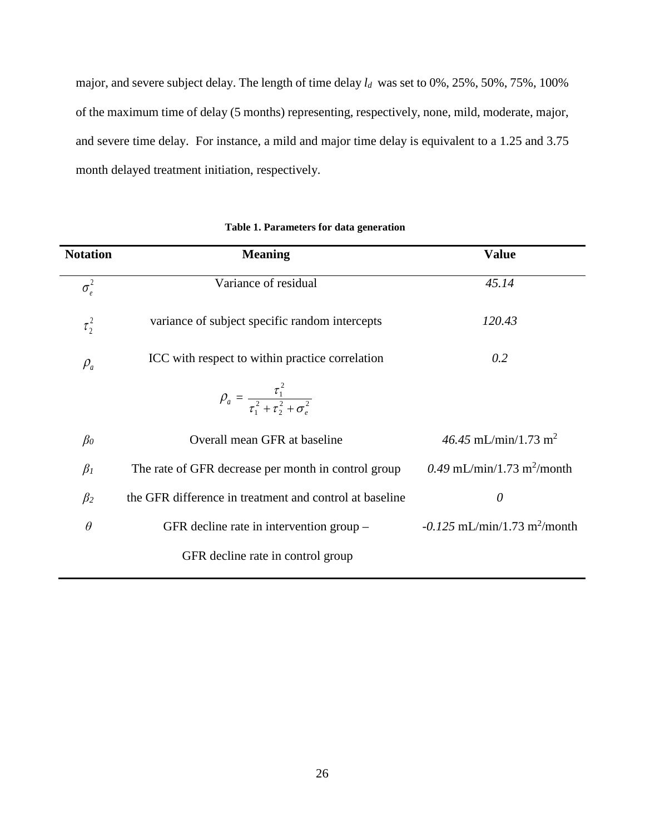major, and severe subject delay. The length of time delay *ld* was set to 0%, 25%, 50%, 75%, 100% of the maximum time of delay (5 months) representing, respectively, none, mild, moderate, major, and severe time delay. For instance, a mild and major time delay is equivalent to a 1.25 and 3.75 month delayed treatment initiation, respectively.

<span id="page-34-0"></span>

| <b>Notation</b> | <b>Meaning</b>                                             | <b>Value</b>                               |
|-----------------|------------------------------------------------------------|--------------------------------------------|
| $\sigma_e^2$    | Variance of residual                                       | 45.14                                      |
| $\tau_2^2$      | variance of subject specific random intercepts             | 120.43                                     |
| $\rho_a$        | ICC with respect to within practice correlation            | 0.2                                        |
|                 | $\rho_a = \frac{\tau_1^2}{\tau_1^2 + \tau_2^2 + \sigma^2}$ |                                            |
| $\beta_0$       | Overall mean GFR at baseline                               | 46.45 mL/min/1.73 m <sup>2</sup>           |
| $\beta_I$       | The rate of GFR decrease per month in control group        | $0.49$ mL/min/1.73 m <sup>2</sup> /month   |
| $\beta_2$       | the GFR difference in treatment and control at baseline    | $\theta$                                   |
| $\theta$        | GFR decline rate in intervention group $-$                 | $-0.125$ mL/min/1.73 m <sup>2</sup> /month |
|                 | GFR decline rate in control group                          |                                            |

|  | Table 1. Parameters for data generation |  |  |
|--|-----------------------------------------|--|--|
|--|-----------------------------------------|--|--|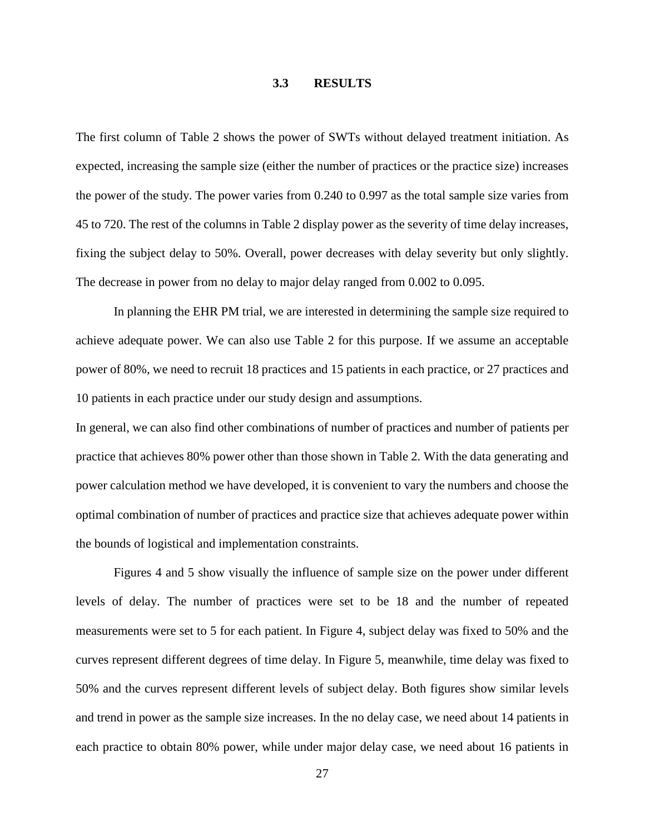## <span id="page-35-0"></span>**3.3 RESULTS**

The first column of Table 2 shows the power of SWTs without delayed treatment initiation. As expected, increasing the sample size (either the number of practices or the practice size) increases the power of the study. The power varies from 0.240 to 0.997 as the total sample size varies from 45 to 720. The rest of the columns in Table 2 display power as the severity of time delay increases, fixing the subject delay to 50%. Overall, power decreases with delay severity but only slightly. The decrease in power from no delay to major delay ranged from 0.002 to 0.095.

In planning the EHR PM trial, we are interested in determining the sample size required to achieve adequate power. We can also use Table 2 for this purpose. If we assume an acceptable power of 80%, we need to recruit 18 practices and 15 patients in each practice, or 27 practices and 10 patients in each practice under our study design and assumptions.

In general, we can also find other combinations of number of practices and number of patients per practice that achieves 80% power other than those shown in Table 2. With the data generating and power calculation method we have developed, it is convenient to vary the numbers and choose the optimal combination of number of practices and practice size that achieves adequate power within the bounds of logistical and implementation constraints.

Figures 4 and 5 show visually the influence of sample size on the power under different levels of delay. The number of practices were set to be 18 and the number of repeated measurements were set to 5 for each patient. In Figure 4, subject delay was fixed to 50% and the curves represent different degrees of time delay. In Figure 5, meanwhile, time delay was fixed to 50% and the curves represent different levels of subject delay. Both figures show similar levels and trend in power as the sample size increases. In the no delay case, we need about 14 patients in each practice to obtain 80% power, while under major delay case, we need about 16 patients in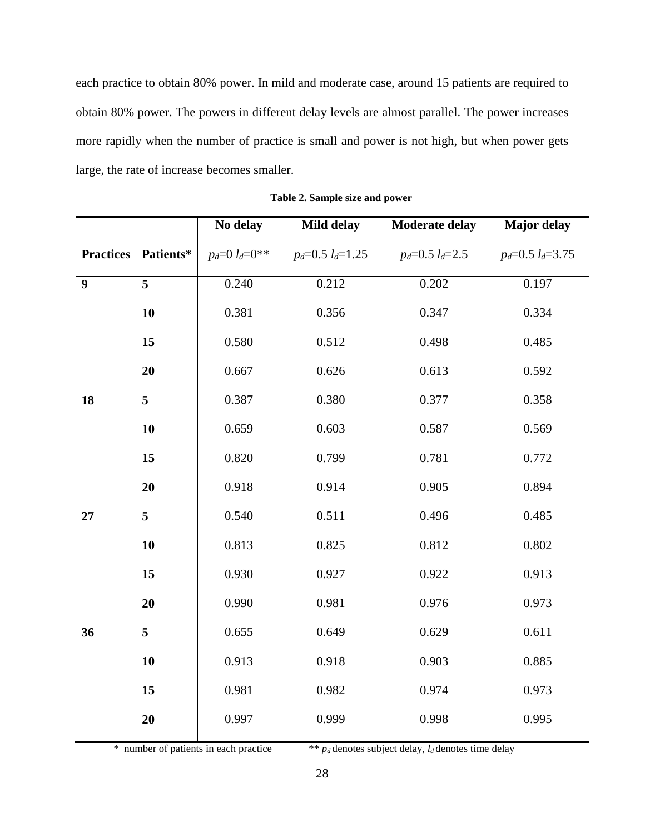each practice to obtain 80% power. In mild and moderate case, around 15 patients are required to obtain 80% power. The powers in different delay levels are almost parallel. The power increases more rapidly when the number of practice is small and power is not high, but when power gets large, the rate of increase becomes smaller.

<span id="page-36-0"></span>

|                  |                | No delay              | Mild delay         | <b>Moderate delay</b> | <b>Major</b> delay     |
|------------------|----------------|-----------------------|--------------------|-----------------------|------------------------|
| <b>Practices</b> | Patients*      | $p_d = 0$ $l_d = 0**$ | $p_d=0.5 l_d=1.25$ | $p_d = 0.5 l_d = 2.5$ | $p_d = 0.5 l_d = 3.75$ |
| $\overline{9}$   | $\overline{5}$ | 0.240                 | 0.212              | 0.202                 | 0.197                  |
|                  | 10             | 0.381                 | 0.356              | 0.347                 | 0.334                  |
|                  | 15             | 0.580                 | 0.512              | 0.498                 | 0.485                  |
|                  | 20             | 0.667                 | 0.626              | 0.613                 | 0.592                  |
| 18               | 5              | 0.387                 | 0.380              | 0.377                 | 0.358                  |
|                  | 10             | 0.659                 | 0.603              | 0.587                 | 0.569                  |
|                  | 15             | 0.820                 | 0.799              | 0.781                 | 0.772                  |
|                  | 20             | 0.918                 | 0.914              | 0.905                 | 0.894                  |
| 27               | 5              | 0.540                 | 0.511              | 0.496                 | 0.485                  |
|                  | 10             | 0.813                 | 0.825              | 0.812                 | 0.802                  |
|                  | 15             | 0.930                 | 0.927              | 0.922                 | 0.913                  |
|                  | 20             | 0.990                 | 0.981              | 0.976                 | 0.973                  |
| 36               | 5              | 0.655                 | 0.649              | 0.629                 | 0.611                  |
|                  | 10             | 0.913                 | 0.918              | 0.903                 | 0.885                  |
|                  | 15             | 0.981                 | 0.982              | 0.974                 | 0.973                  |
|                  | 20             | 0.997                 | 0.999              | 0.998                 | 0.995                  |
|                  |                |                       |                    |                       |                        |

**Table 2. Sample size and power**

\* number of patients in each practice  $* p_d$  denotes subject delay,  $l_d$  denotes time delay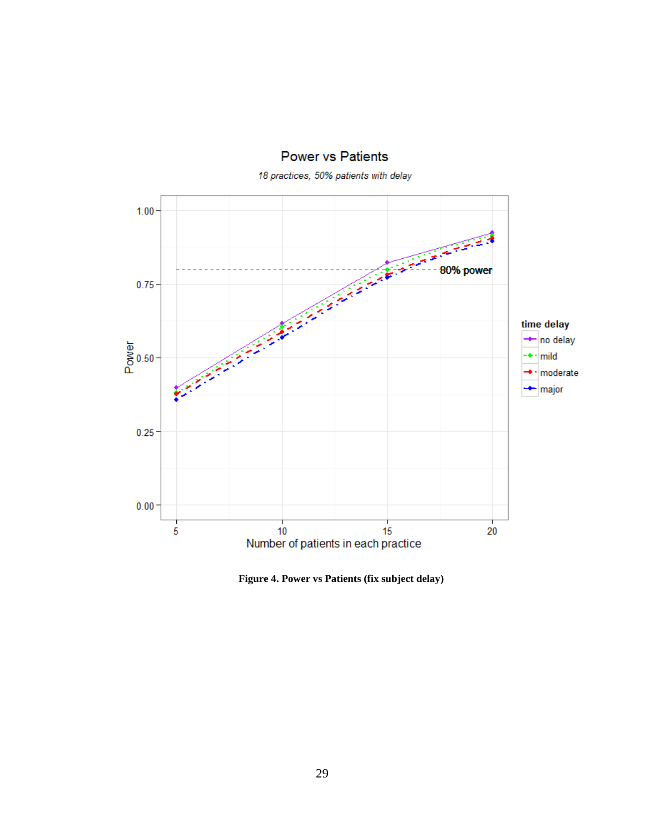

**Power vs Patients** 

<span id="page-37-0"></span>**Figure 4. Power vs Patients (fix subject delay)**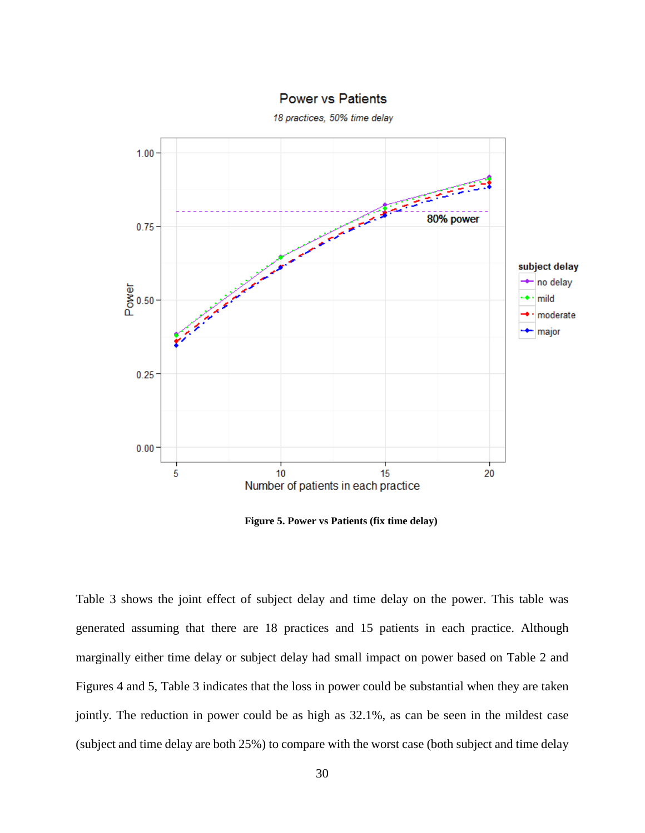

**Power vs Patients** 

18 practices, 50% time delay

**Figure 5. Power vs Patients (fix time delay)**

<span id="page-38-0"></span>Table 3 shows the joint effect of subject delay and time delay on the power. This table was generated assuming that there are 18 practices and 15 patients in each practice. Although marginally either time delay or subject delay had small impact on power based on Table 2 and Figures 4 and 5, Table 3 indicates that the loss in power could be substantial when they are taken jointly. The reduction in power could be as high as 32.1%, as can be seen in the mildest case (subject and time delay are both 25%) to compare with the worst case (both subject and time delay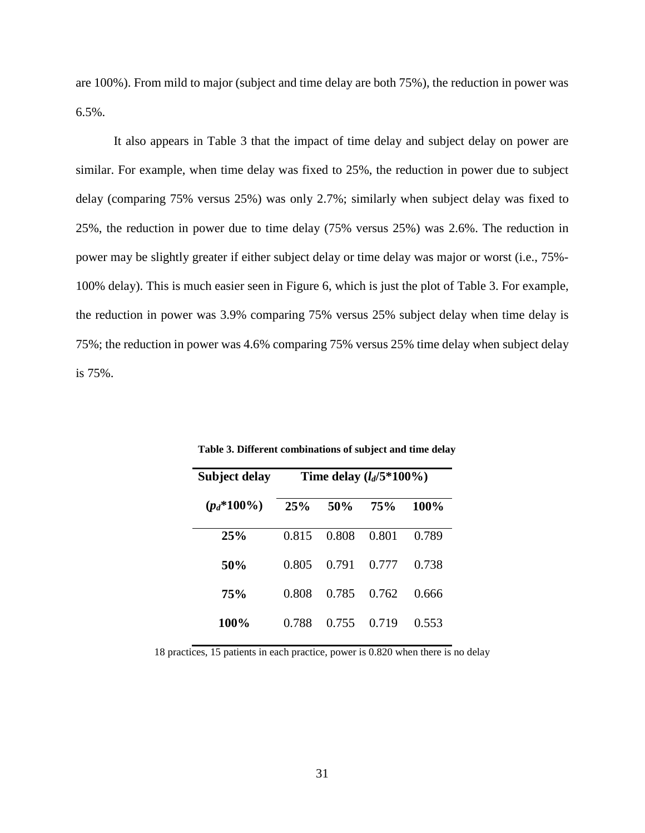are 100%). From mild to major (subject and time delay are both 75%), the reduction in power was 6.5%.

It also appears in Table 3 that the impact of time delay and subject delay on power are similar. For example, when time delay was fixed to 25%, the reduction in power due to subject delay (comparing 75% versus 25%) was only 2.7%; similarly when subject delay was fixed to 25%, the reduction in power due to time delay (75% versus 25%) was 2.6%. The reduction in power may be slightly greater if either subject delay or time delay was major or worst (i.e., 75%- 100% delay). This is much easier seen in Figure 6, which is just the plot of Table 3. For example, the reduction in power was 3.9% comparing 75% versus 25% subject delay when time delay is 75%; the reduction in power was 4.6% comparing 75% versus 25% time delay when subject delay is 75%.

<span id="page-39-0"></span>

| Subject delay   | Time delay $(l_d/5*100\%)$ |       |       |       |  |
|-----------------|----------------------------|-------|-------|-------|--|
| $(p_d * 100\%)$ | 25%                        | 50%   | 75%   | 100%  |  |
| 25%             | 0.815                      | 0.808 | 0.801 | 0.789 |  |
| 50%             | 0.805                      | 0.791 | 0.777 | 0.738 |  |
| <b>75%</b>      | 0.808                      | 0.785 | 0.762 | 0.666 |  |
| 100%            | 0.788                      | 0.755 | 0.719 | 0.553 |  |

**Table 3. Different combinations of subject and time delay**

18 practices, 15 patients in each practice, power is 0.820 when there is no delay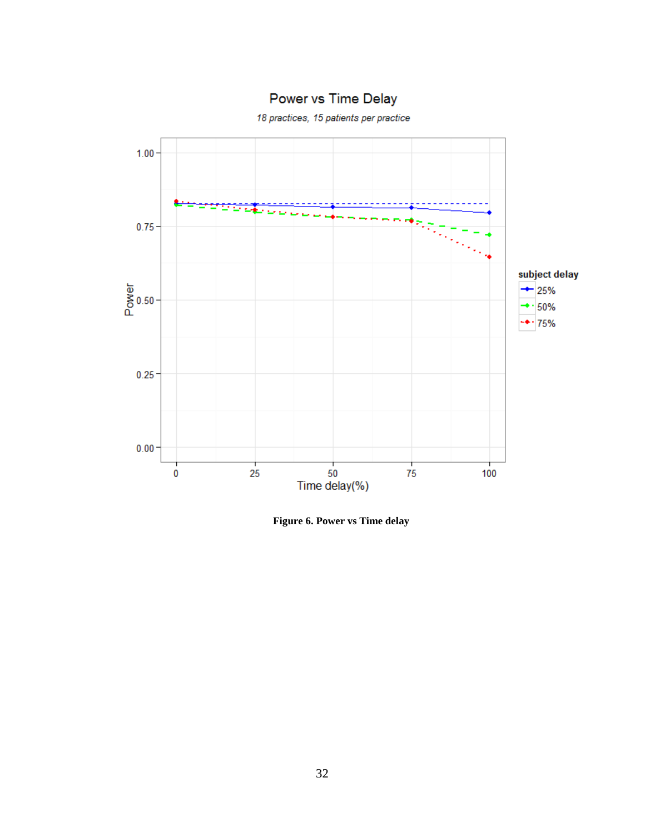

Power vs Time Delay

<span id="page-40-0"></span>**Figure 6. Power vs Time delay**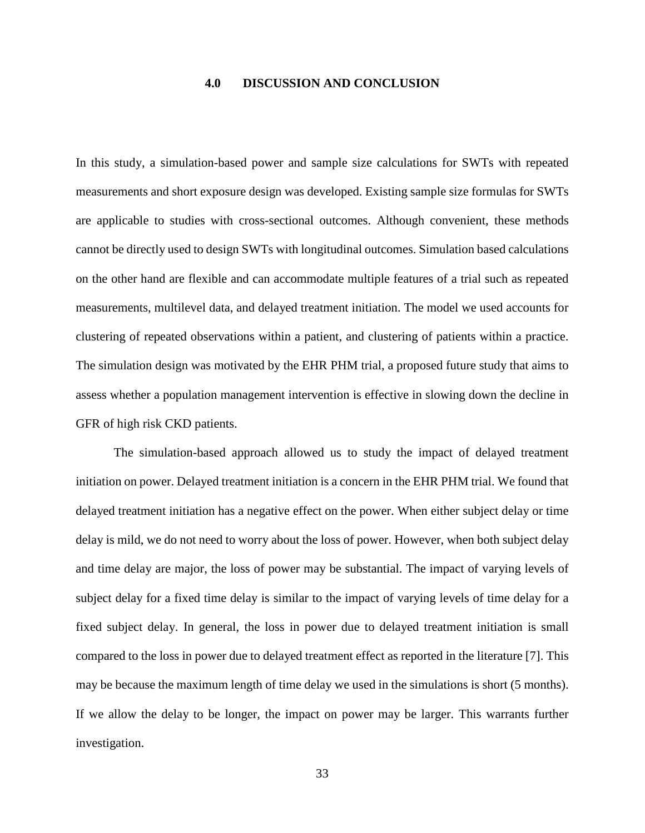# **4.0 DISCUSSION AND CONCLUSION**

<span id="page-41-0"></span>In this study, a simulation-based power and sample size calculations for SWTs with repeated measurements and short exposure design was developed. Existing sample size formulas for SWTs are applicable to studies with cross-sectional outcomes. Although convenient, these methods cannot be directly used to design SWTs with longitudinal outcomes. Simulation based calculations on the other hand are flexible and can accommodate multiple features of a trial such as repeated measurements, multilevel data, and delayed treatment initiation. The model we used accounts for clustering of repeated observations within a patient, and clustering of patients within a practice. The simulation design was motivated by the EHR PHM trial, a proposed future study that aims to assess whether a population management intervention is effective in slowing down the decline in GFR of high risk CKD patients.

The simulation-based approach allowed us to study the impact of delayed treatment initiation on power. Delayed treatment initiation is a concern in the EHR PHM trial. We found that delayed treatment initiation has a negative effect on the power. When either subject delay or time delay is mild, we do not need to worry about the loss of power. However, when both subject delay and time delay are major, the loss of power may be substantial. The impact of varying levels of subject delay for a fixed time delay is similar to the impact of varying levels of time delay for a fixed subject delay. In general, the loss in power due to delayed treatment initiation is small compared to the loss in power due to delayed treatment effect as reported in the literature [7]. This may be because the maximum length of time delay we used in the simulations is short (5 months). If we allow the delay to be longer, the impact on power may be larger. This warrants further investigation.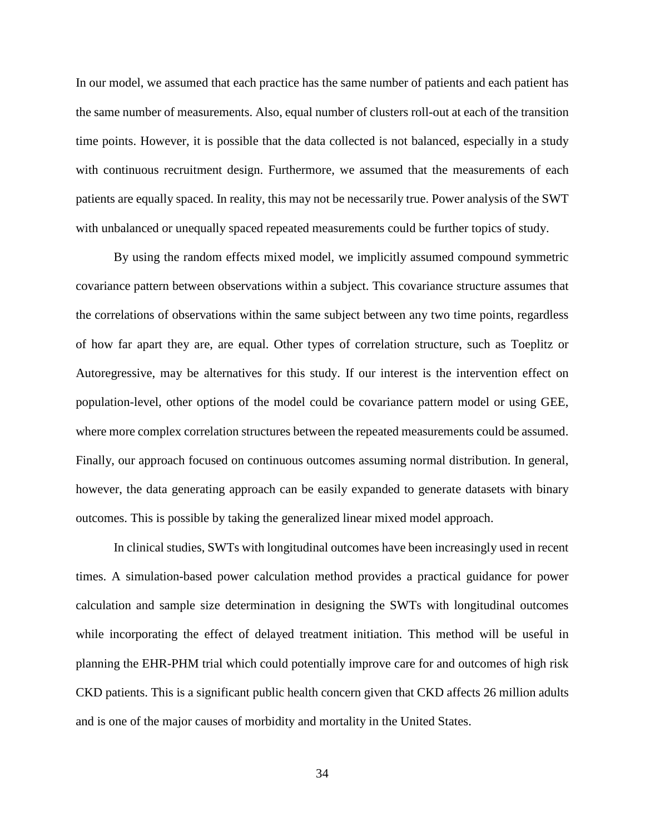In our model, we assumed that each practice has the same number of patients and each patient has the same number of measurements. Also, equal number of clusters roll-out at each of the transition time points. However, it is possible that the data collected is not balanced, especially in a study with continuous recruitment design. Furthermore, we assumed that the measurements of each patients are equally spaced. In reality, this may not be necessarily true. Power analysis of the SWT with unbalanced or unequally spaced repeated measurements could be further topics of study.

By using the random effects mixed model, we implicitly assumed compound symmetric covariance pattern between observations within a subject. This covariance structure assumes that the correlations of observations within the same subject between any two time points, regardless of how far apart they are, are equal. Other types of correlation structure, such as Toeplitz or Autoregressive, may be alternatives for this study. If our interest is the intervention effect on population-level, other options of the model could be covariance pattern model or using GEE, where more complex correlation structures between the repeated measurements could be assumed. Finally, our approach focused on continuous outcomes assuming normal distribution. In general, however, the data generating approach can be easily expanded to generate datasets with binary outcomes. This is possible by taking the generalized linear mixed model approach.

In clinical studies, SWTs with longitudinal outcomes have been increasingly used in recent times. A simulation-based power calculation method provides a practical guidance for power calculation and sample size determination in designing the SWTs with longitudinal outcomes while incorporating the effect of delayed treatment initiation. This method will be useful in planning the EHR-PHM trial which could potentially improve care for and outcomes of high risk CKD patients. This is a significant public health concern given that CKD affects 26 million adults and is one of the major causes of morbidity and mortality in the United States.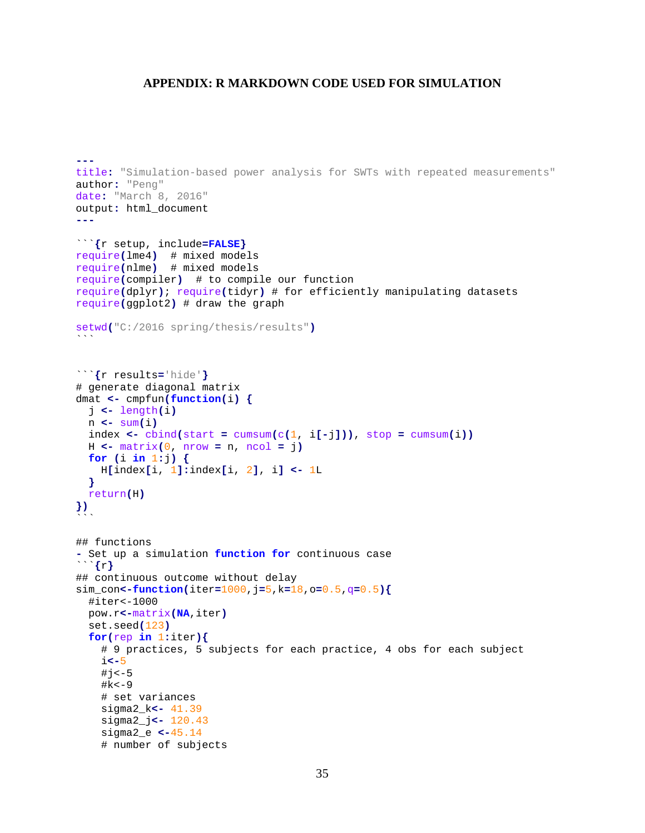#### <span id="page-43-0"></span>**APPENDIX: R MARKDOWN CODE USED FOR SIMULATION**

```
---
title: "Simulation-based power analysis for SWTs with repeated measurements"
author: "Peng"
date: "March 8, 2016"
output: html_document
---
```{r setup, include=FALSE}
require(lme4) # mixed models 
require(nlme) # mixed models
require(compiler) # to compile our function
require(dplyr); require(tidyr) # for efficiently manipulating datasets
require(ggplot2) # draw the graph
setwd("C:/2016 spring/thesis/results")
\sim```{r results='hide'}
# generate diagonal matrix
dmat <- cmpfun(function(i) {
  j <- length(i)
  n <- sum(i)
  index <- cbind(start = cumsum(c(1, i[-j])), stop = cumsum(i))
  H <- matrix(0, nrow = n, ncol = j)
   for (i in 1:j) {
    H[index[i, 1]:index[i, 2], i] <- 1L
   }
  return(H)
})
\ddot{\phantom{0}}## functions
- Set up a simulation function for continuous case
```{r}
## continuous outcome without delay
sim_con<-function(iter=1000,j=5,k=18,o=0.5,q=0.5){
   #iter<-1000
  pow.r<-matrix(NA,iter)
  set.seed(123)
   for(rep in 1:iter){
     # 9 practices, 5 subjects for each practice, 4 obs for each subject
     i<-5
    \#j<-5
    #k < -9 # set variances
     sigma2_k<- 41.39
     sigma2_j<- 120.43
     sigma2_e <-45.14
     # number of subjects
```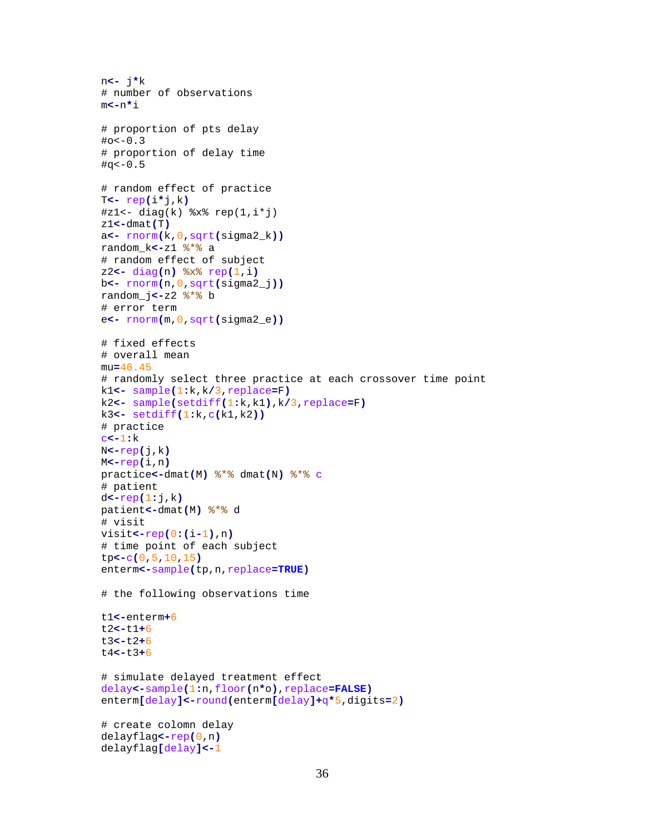```
 n<- j*k
 # number of observations
 m<-n*i
 # proportion of pts delay
#o < -0.3 # proportion of delay time
#q<-0.5 # random effect of practice
 T<- rep(i*j,k)
#z1 <- diag(k) x * p(1, i * j) z1<-dmat(T)
 a<- rnorm(k,0,sqrt(sigma2_k))
 random_k<-z1 %*% a
 # random effect of subject
 z2<- diag(n) %x% rep(1,i)
 b<- rnorm(n,0,sqrt(sigma2_j))
 random_j<-z2 %*% b
 # error term
 e<- rnorm(m,0,sqrt(sigma2_e))
 # fixed effects
 # overall mean
 mu=46.45
 # randomly select three practice at each crossover time point
 k1<- sample(1:k,k/3,replace=F)
 k2<- sample(setdiff(1:k,k1),k/3,replace=F)
 k3<- setdiff(1:k,c(k1,k2))
 # practice
 c<-1:k
 N<-rep(j,k)
 M<-rep(i,n)
 practice<-dmat(M) %*% dmat(N) %*% c
 # patient
 d<-rep(1:j,k)
 patient<-dmat(M) %*% d
 # visit
 visit<-rep(0:(i-1),n)
 # time point of each subject
 tp<-c(0,5,10,15)
 enterm<-sample(tp,n,replace=TRUE)
 # the following observations time
 t1<-enterm+6
 t2<-t1+6
 t3<-t2+6
 t4<-t3+6
 # simulate delayed treatment effect
 delay<-sample(1:n,floor(n*o),replace=FALSE)
 enterm[delay]<-round(enterm[delay]+q*5,digits=2)
 # create colomn delay
 delayflag<-rep(0,n)
 delayflag[delay]<-1
```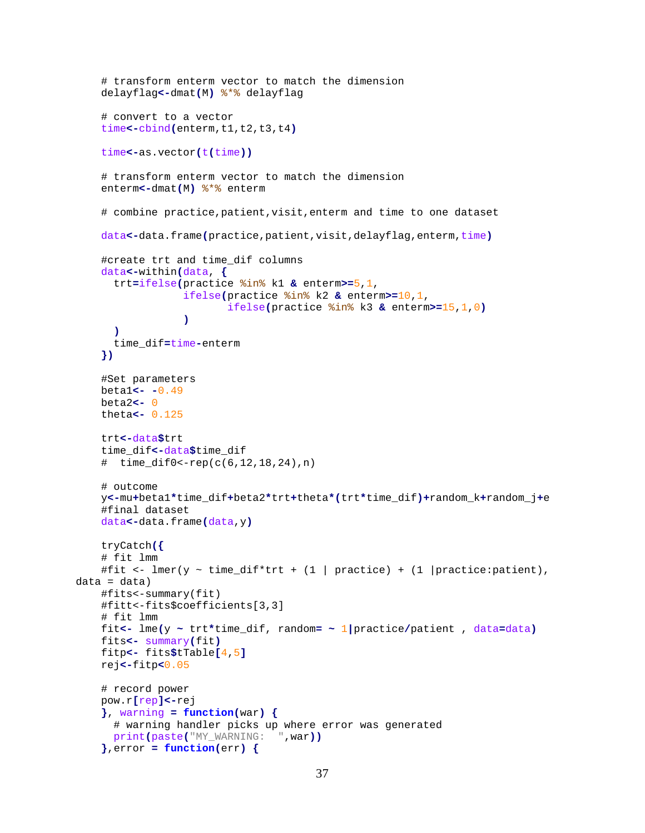```
 # transform enterm vector to match the dimension
     delayflag<-dmat(M) %*% delayflag
     # convert to a vector
     time<-cbind(enterm,t1,t2,t3,t4)
     time<-as.vector(t(time))
     # transform enterm vector to match the dimension
     enterm<-dmat(M) %*% enterm
     # combine practice,patient,visit,enterm and time to one dataset
     data<-data.frame(practice,patient,visit,delayflag,enterm,time)
     #create trt and time_dif columns
     data<-within(data, {
       trt=ifelse(practice %in% k1 & enterm>=5,1,
                  ifelse(practice %in% k2 & enterm>=10,1,
                  ifelse(practice %in% k3 & enterm>=15,1,0)
 )
 )
       time_dif=time-enterm
     })
     #Set parameters
     beta1<- -0.49
     beta2<- 0
     theta<- 0.125
     trt<-data$trt
     time_dif<-data$time_dif
     # time_dif0<-rep(c(6,12,18,24),n)
     # outcome
     y<-mu+beta1*time_dif+beta2*trt+theta*(trt*time_dif)+random_k+random_j+e
     #final dataset
     data<-data.frame(data,y)
     tryCatch({
     # fit lmm
    #fit <- lmer(y \sim time\_diff*trt + (1 | practice) + (1 | practice: patient),data = data) #fits<-summary(fit)
     #fitt<-fits$coefficients[3,3]
     # fit lmm
     fit<- lme(y ~ trt*time_dif, random= ~ 1|practice/patient , data=data)
     fits<- summary(fit)
     fitp<- fits$tTable[4,5]
     rej<-fitp<0.05
     # record power
     pow.r[rep]<-rej
     }, warning = function(war) {
       # warning handler picks up where error was generated
       print(paste("MY_WARNING: ",war))
     },error = function(err) {
```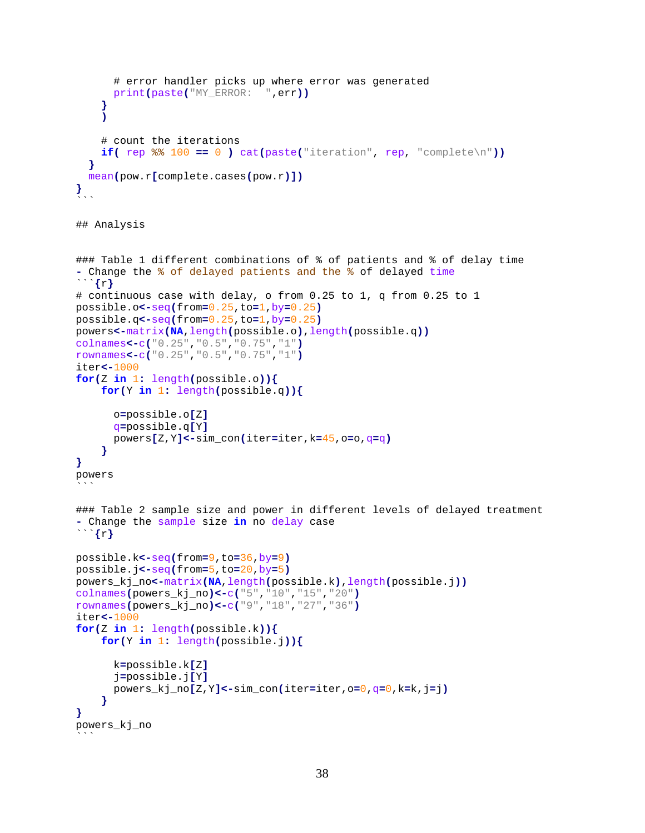```
 # error handler picks up where error was generated
       print(paste("MY_ERROR: ",err))
     }
     )
     # count the iterations
     if( rep %% 100 == 0 ) cat(paste("iteration", rep, "complete\n"))
   }
   mean(pow.r[complete.cases(pow.r)])
}
\ddot{\phantom{0}}## Analysis
### Table 1 different combinations of % of patients and % of delay time
- Change the % of delayed patients and the % of delayed time
```{r}
# continuous case with delay, o from 0.25 to 1, q from 0.25 to 1
possible.o<-seq(from=0.25,to=1,by=0.25)
possible.q<-seq(from=0.25,to=1,by=0.25)
powers<-matrix(NA,length(possible.o),length(possible.q))
colnames<-c("0.25","0.5","0.75","1")
rownames<-c("0.25","0.5","0.75","1")
iter<-1000
for(Z in 1: length(possible.o)){
     for(Y in 1: length(possible.q)){
       o=possible.o[Z]
       q=possible.q[Y]
       powers[Z,Y]<-sim_con(iter=iter,k=45,o=o,q=q)
     }
}
powers
\ddot{\phantom{0}}### Table 2 sample size and power in different levels of delayed treatment
- Change the sample size in no delay case
```{r}
possible.k<-seq(from=9,to=36,by=9)
possible.j<-seq(from=5,to=20,by=5)
powers_kj_no<-matrix(NA,length(possible.k),length(possible.j))
colnames(powers_kj_no)<-c("5","10","15","20")
rownames(powers_kj_no)<-c("9","18","27","36")
iter<-1000
for(Z in 1: length(possible.k)){
     for(Y in 1: length(possible.j)){
       k=possible.k[Z]
       j=possible.j[Y]
       powers_kj_no[Z,Y]<-sim_con(iter=iter,o=0,q=0,k=k,j=j)
     }
}
powers_kj_no
\ddot{\phantom{0}}
```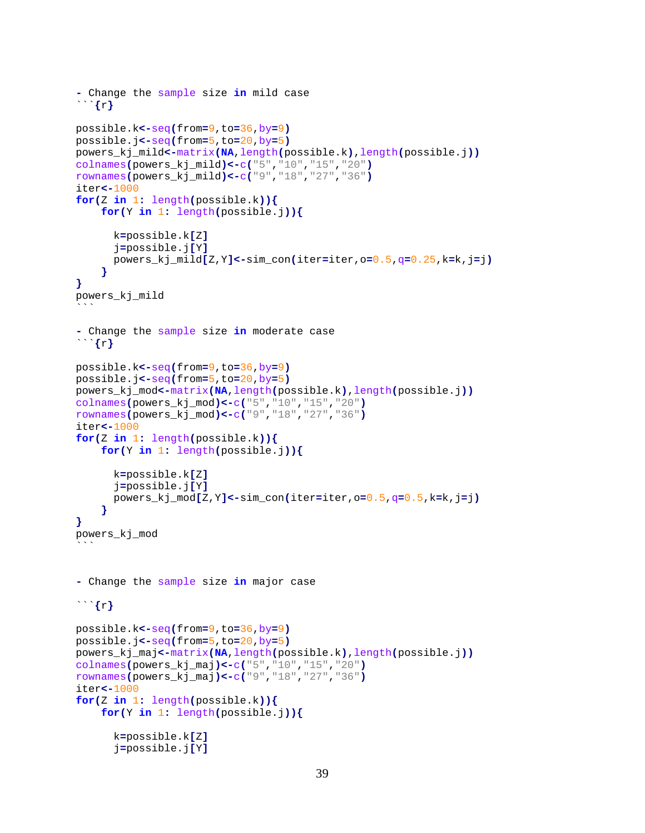```
- Change the sample size in mild case
```{r}
possible.k<-seq(from=9,to=36,by=9)
possible.j<-seq(from=5,to=20,by=5)
powers_kj_mild<-matrix(NA,length(possible.k),length(possible.j))
colnames(powers_kj_mild)<-c("5","10","15","20")
rownames(powers_kj_mild)<-c("9","18","27","36")
iter<-1000
for(Z in 1: length(possible.k)){
     for(Y in 1: length(possible.j)){
       k=possible.k[Z]
       j=possible.j[Y]
       powers_kj_mild[Z,Y]<-sim_con(iter=iter,o=0.5,q=0.25,k=k,j=j)
     }
}
powers_kj_mild
\ddot{\phantom{0}}- Change the sample size in moderate case
```{r}
possible.k<-seq(from=9,to=36,by=9)
possible.j<-seq(from=5,to=20,by=5)
powers_kj_mod<-matrix(NA,length(possible.k),length(possible.j))
colnames(powers_kj_mod)<-c("5","10","15","20")
rownames(powers_kj_mod)<-c("9","18","27","36")
iter<-1000
for( Z in 1: length(possible.k)) for(Y in 1: length(possible.j)){
       k=possible.k[Z]
       j=possible.j[Y]
       powers_kj_mod[Z,Y]<-sim_con(iter=iter,o=0.5,q=0.5,k=k,j=j)
     }
}
powers_kj_mod
- Change the sample size in major case
```{r}
possible.k<-seq(from=9,to=36,by=9)
possible.j<-seq(from=5,to=20,by=5)
powers_kj_maj<-matrix(NA,length(possible.k),length(possible.j))
colnames(powers_kj_maj)<-c("5","10","15","20")
rownames(powers_kj_maj)<-c("9","18","27","36")
iter<-1000
for(Z in 1: length(possible.k)){
     for(Y in 1: length(possible.j)){
       k=possible.k[Z]
       j=possible.j[Y]
```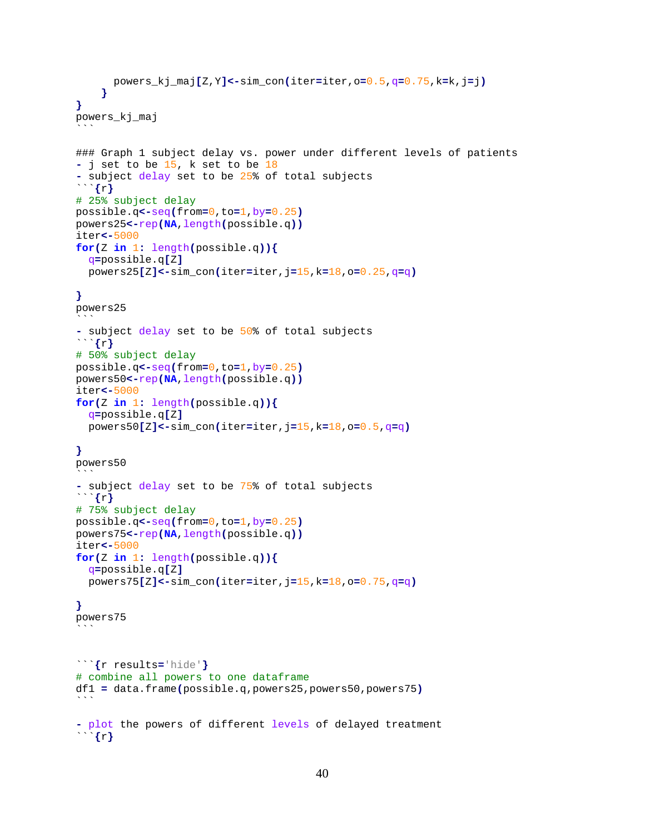```
 powers_kj_maj[Z,Y]<-sim_con(iter=iter,o=0.5,q=0.75,k=k,j=j)
     }
}
powers_kj_maj
\ddot{\phantom{0}}### Graph 1 subject delay vs. power under different levels of patients
- j set to be 15, k set to be 18
- subject delay set to be 25% of total subjects
```{r}
# 25% subject delay
possible.q<-seq(from=0,to=1,by=0.25)
powers25<-rep(NA,length(possible.q))
iter<-5000
for(Z in 1: length(possible.q)){
   q=possible.q[Z]
   powers25[Z]<-sim_con(iter=iter,j=15,k=18,o=0.25,q=q)
}
powers25
\ddot{\phantom{0}}- subject delay set to be 50% of total subjects
```{r}
# 50% subject delay
possible.q<-seq(from=0,to=1,by=0.25)
powers50<-rep(NA,length(possible.q))
iter<-5000
for(Z in 1: length(possible.q)){
   q=possible.q[Z]
   powers50[Z]<-sim_con(iter=iter,j=15,k=18,o=0.5,q=q)
l.
}
powers50
\ddot{\phantom{0}}- subject delay set to be 75% of total subjects
```{r}
# 75% subject delay
possible.q<-seq(from=0,to=1,by=0.25)
powers75<-rep(NA,length(possible.q))
iter<-5000
for(Z in 1: length(possible.q)){
   q=possible.q[Z]
   powers75[Z]<-sim_con(iter=iter,j=15,k=18,o=0.75,q=q)
}
powers75
\overline{\phantom{a}}```{r results='hide'}
# combine all powers to one dataframe
df1 = data.frame(possible.q,powers25,powers50,powers75)
\sim \sim \sim- plot the powers of different levels of delayed treatment
```{r}
```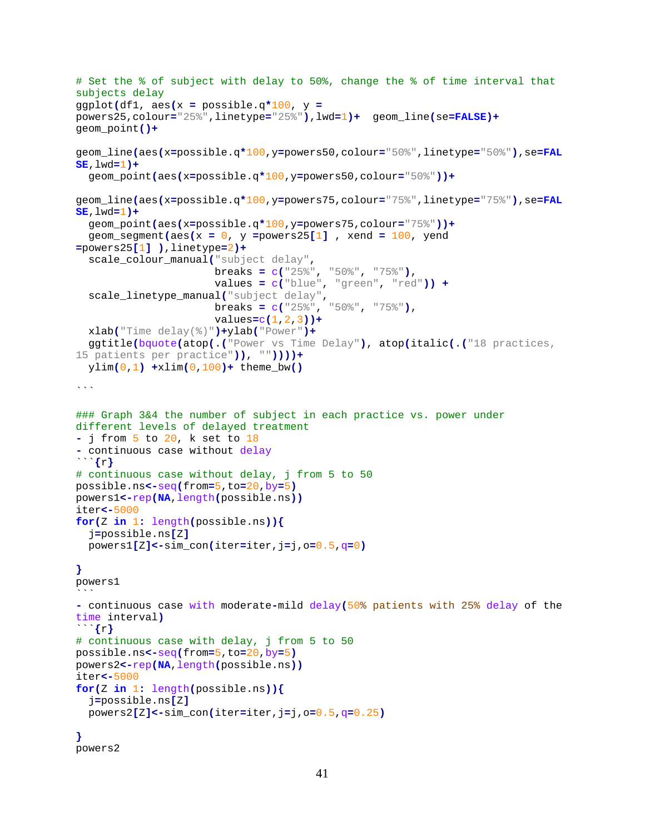```
# Set the % of subject with delay to 50%, change the % of time interval that 
subjects delay 
ggplot(df1, aes(x = possible.q*100, y =
powers25,colour="25%",linetype="25%"),lwd=1)+ geom_line(se=FALSE)+
geom_point()+
geom_line(aes(x=possible.q*100,y=powers50,colour="50%",linetype="50%"),se=FAL
SE,lwd=1)+
   geom_point(aes(x=possible.q*100,y=powers50,colour="50%"))+
geom_line(aes(x=possible.q*100,y=powers75,colour="75%",linetype="75%"),se=FAL
SE,lwd=1)+
   geom_point(aes(x=possible.q*100,y=powers75,colour="75%"))+
   geom_segment(aes(x = 0, y =powers25[1] , xend = 100, yend 
=powers25[1] ),linetype=2)+
   scale_colour_manual("subject delay", 
                       breaks = c("25%", "50%", "75%"),
                       values = c("blue", "green", "red")) +
   scale_linetype_manual("subject delay", 
                       breaks = c("25%", "50%", "75%"),
                       values=c(1,2,3))+
  xlab("Time delay(%)")+ylab("Power")+
   ggtitle(bquote(atop(.("Power vs Time Delay"), atop(italic(.("18 practices, 
15 patients per practice")), ""))))+
  ylim(0,1) +xlim(0,100)+ theme_bw()
\ddot{\phantom{0}}### Graph 3&4 the number of subject in each practice vs. power under 
different levels of delayed treatment
- j from 5 to 20, k set to 18
- continuous case without delay
```{r}
# continuous case without delay, j from 5 to 50
possible.ns<-seq(from=5,to=20,by=5)
powers1<-rep(NA,length(possible.ns))
iter<-5000
for(Z in 1: length(possible.ns)){
   j=possible.ns[Z]
  powers1[Z]<-sim_con(iter=iter,j=j,o=0.5,q=0)
l.
}
powers1
\ddot{\phantom{0}}- continuous case with moderate-mild delay(50% patients with 25% delay of the 
time interval)
```{r}
# continuous case with delay, j from 5 to 50
possible.ns<-seq(from=5,to=20,by=5)
powers2<-rep(NA,length(possible.ns))
iter<-5000
for(Z in 1: length(possible.ns)){
   j=possible.ns[Z]
  powers2[Z]<-sim_con(iter=iter,j=j,o=0.5,q=0.25)
}
powers2
```

```
41
```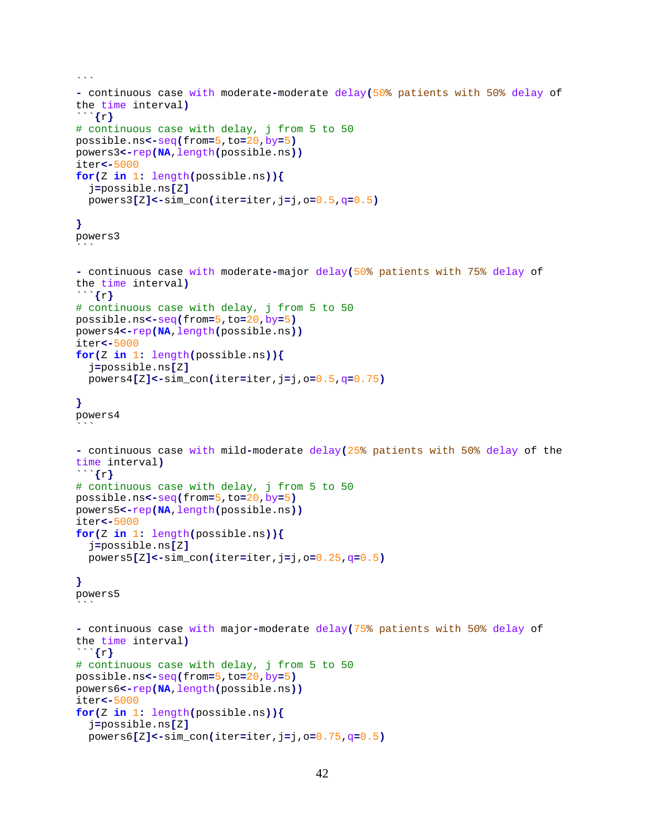```
\ddot{\phantom{0}}- continuous case with moderate-moderate delay(50% patients with 50% delay of 
the time interval)
```{r}
# continuous case with delay, j from 5 to 50
possible.ns<-seq(from=5,to=20,by=5)
powers3<-rep(NA,length(possible.ns))
iter<-5000
for(Z in 1: length(possible.ns)){
   j=possible.ns[Z]
   powers3[Z]<-sim_con(iter=iter,j=j,o=0.5,q=0.5)

}
powers3
\overline{\phantom{a}}- continuous case with moderate-major delay(50% patients with 75% delay of 
the time interval)
```{r}
# continuous case with delay, j from 5 to 50
possible.ns<-seq(from=5,to=20,by=5)
powers4<-rep(NA,length(possible.ns))
iter<-5000
for(Z in 1: length(possible.ns)){
   j=possible.ns[Z]
   powers4[Z]<-sim_con(iter=iter,j=j,o=0.5,q=0.75)
}
powers4
\ddot{\phantom{0}}- continuous case with mild-moderate delay(25% patients with 50% delay of the 
time interval)
```{r}
# continuous case with delay, j from 5 to 50
possible.ns<-seq(from=5,to=20,by=5)
powers5<-rep(NA,length(possible.ns))
iter<-5000
for(Z in 1: length(possible.ns)){
   j=possible.ns[Z]
   powers5[Z]<-sim_con(iter=iter,j=j,o=0.25,q=0.5)

}
powers5
\ddot{\phantom{0}}- continuous case with major-moderate delay(75% patients with 50% delay of 
the time interval)
```{r}
# continuous case with delay, j from 5 to 50
possible.ns<-seq(from=5,to=20,by=5)
powers6<-rep(NA,length(possible.ns))
iter<-5000
for(Z in 1: length(possible.ns)){
   j=possible.ns[Z]
   powers6[Z]<-sim_con(iter=iter,j=j,o=0.75,q=0.5)
```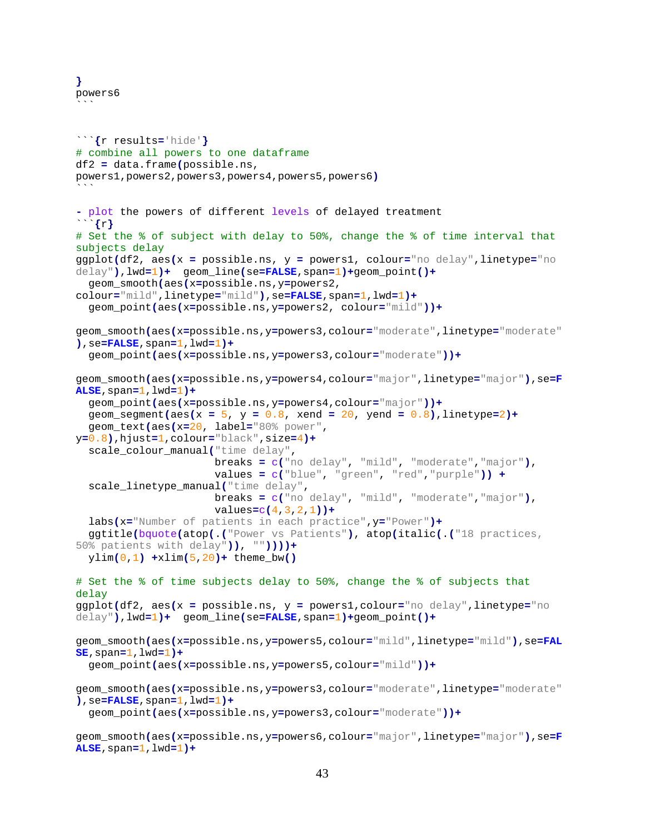```
}
powers6
\ddot{\phantom{0}}```{r results='hide'}
# combine all powers to one dataframe
df2 = data.frame(possible.ns, 
powers1,powers2,powers3,powers4,powers5,powers6)
\ddot{\phantom{0}}- plot the powers of different levels of delayed treatment
```{r}
# Set the % of subject with delay to 50%, change the % of time interval that 
subjects delay 
ggplot(df2, aes(x = possible.ns, y = powers1, colour="no delay",linetype="no 
delay"),lwd=1)+ geom_line(se=FALSE,span=1)+geom_point()+
   geom_smooth(aes(x=possible.ns,y=powers2, 
colour="mild",linetype="mild"),se=FALSE,span=1,lwd=1)+
  geom_point(aes(x=possible.ns,y=powers2, colour="mild"))+
geom_smooth(aes(x=possible.ns,y=powers3,colour="moderate",linetype="moderate"
),se=FALSE,span=1,lwd=1)+
   geom_point(aes(x=possible.ns,y=powers3,colour="moderate"))+
geom_smooth(aes(x=possible.ns,y=powers4,colour="major",linetype="major"),se=F
ALSE,span=1,lwd=1)+
   geom_point(aes(x=possible.ns,y=powers4,colour="major"))+
   geom_segment(aes(x = 5, y = 0.8, xend = 20, yend = 0.8),linetype=2)+
   geom_text(aes(x=20, label="80% power", 
y=0.8),hjust=1,colour="black",size=4)+
   scale_colour_manual("time delay", 
                       breaks = c("no delay", "mild", "moderate","major"),
                       values = c("blue", "green", "red","purple")) +
   scale_linetype_manual("time delay", 
                       breaks = c("no delay", "mild", "moderate","major"),
                       values=c(4,3,2,1))+
   labs(x="Number of patients in each practice",y="Power")+
   ggtitle(bquote(atop(.("Power vs Patients"), atop(italic(.("18 practices, 
50% patients with delay")), ""))))+
  ylim(0,1) +xlim(5,20)+ theme_bw()
# Set the % of time subjects delay to 50%, change the % of subjects that 
delay 
ggplot(df2, aes(x = possible.ns, y = powers1,colour="no delay",linetype="no 
delay"),lwd=1)+ geom_line(se=FALSE,span=1)+geom_point()+
geom_smooth(aes(x=possible.ns,y=powers5,colour="mild",linetype="mild"),se=FAL
SE,span=1,lwd=1)+
   geom_point(aes(x=possible.ns,y=powers5,colour="mild"))+
geom_smooth(aes(x=possible.ns,y=powers3,colour="moderate",linetype="moderate"
),se=FALSE,span=1,lwd=1)+
   geom_point(aes(x=possible.ns,y=powers3,colour="moderate"))+
geom_smooth(aes(x=possible.ns,y=powers6,colour="major",linetype="major"),se=F
ALSE,span=1,lwd=1)+
```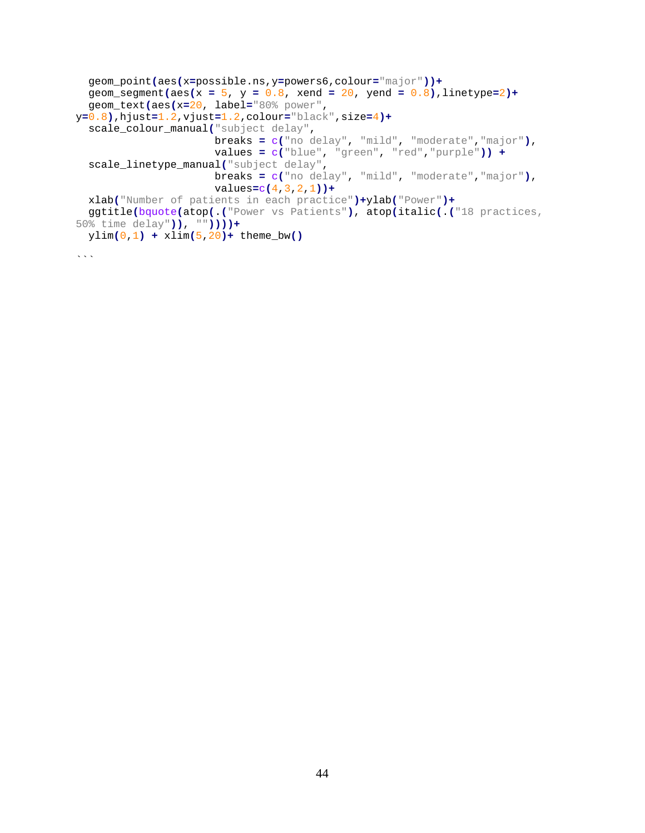```
 geom_point(aes(x=possible.ns,y=powers6,colour="major"))+
  geom_segment(aes(x = 5, y = 0.8, xend = 20, yend = 0.8),linetype=2)+
   geom_text(aes(x=20, label="80% power", 
y=0.8),hjust=1.2,vjust=1.2,colour="black",size=4)+
   scale_colour_manual("subject delay", 
                       breaks = c("no delay", "mild", "moderate","major"),
                       values = c("blue", "green", "red","purple")) +
   scale_linetype_manual("subject delay", 
                       breaks = c("no delay", "mild", "moderate","major"),
                       values=c(4,3,2,1))+
  xlab("Number of patients in each practice")+ylab("Power")+
  ggtitle(bquote(atop(.("Power vs Patients"), atop(italic(.("18 practices, 
50% time delay")), ""))))+
  ylim(0,1) + xlim(5,20)+ theme_bw()
```
 $\ddotsc$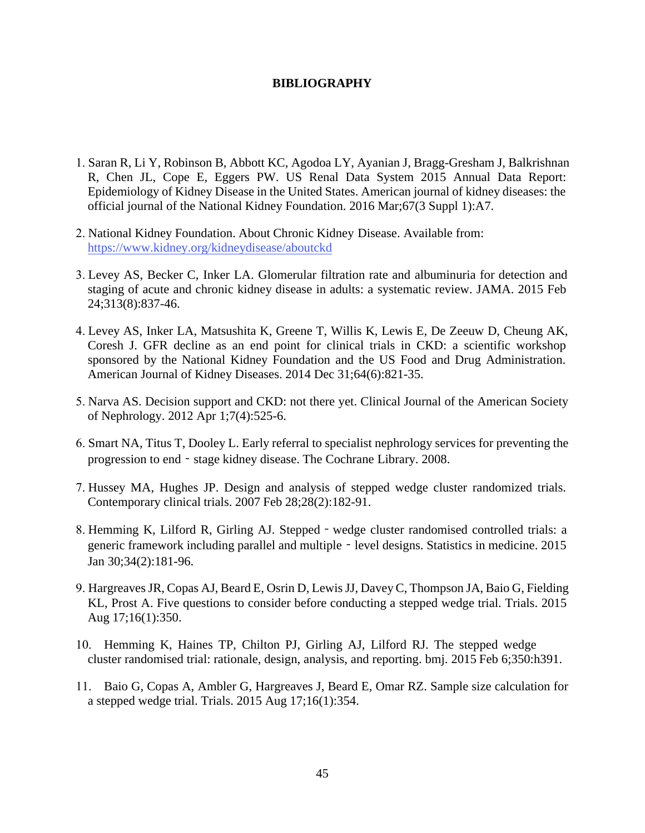# **BIBLIOGRAPHY**

- <span id="page-53-0"></span>1. Saran R, Li Y, Robinson B, Abbott KC, Agodoa LY, Ayanian J, Bragg-Gresham J, Balkrishnan R, Chen JL, Cope E, Eggers PW. US Renal Data System 2015 Annual Data Report: Epidemiology of Kidney Disease in the United States. American journal of kidney diseases: the official journal of the National Kidney Foundation. 2016 Mar;67(3 Suppl 1):A7.
- 2. [National Kidney Foundation. About Chronic Kid](https://www.kidney.org/kidneydisease/aboutckd)ney Disease. Available from: https://www.kidney.org/kidneydisease/aboutckd
- 3. Levey AS, Becker C, Inker LA. Glomerular filtration rate and albuminuria for detection and staging of acute and chronic kidney disease in adults: a systematic review. JAMA. 2015 Feb 24;313(8):837-46.
- 4. Levey AS, Inker LA, Matsushita K, Greene T, Willis K, Lewis E, De Zeeuw D, Cheung AK, Coresh J. GFR decline as an end point for clinical trials in CKD: a scientific workshop sponsored by the National Kidney Foundation and the US Food and Drug Administration. American Journal of Kidney Diseases. 2014 Dec 31;64(6):821-35.
- 5. Narva AS. Decision support and CKD: not there yet. Clinical Journal of the American Society of Nephrology. 2012 Apr 1;7(4):525-6.
- 6. Smart NA, Titus T, Dooley L. Early referral to specialist nephrology services for preventing the progression to end - stage kidney disease. The Cochrane Library. 2008.
- 7. Hussey MA, Hughes JP. Design and analysis of stepped wedge cluster randomized trials. Contemporary clinical trials. 2007 Feb 28;28(2):182-91.
- 8. Hemming K, Lilford R, Girling AJ. Stepped‐wedge cluster randomised controlled trials: a generic framework including parallel and multiple - level designs. Statistics in medicine. 2015 Jan 30;34(2):181-96.
- 9. Hargreaves JR, Copas AJ, Beard E, Osrin D, Lewis JJ, Davey C, Thompson JA, Baio G, Fielding KL, Prost A. Five questions to consider before conducting a stepped wedge trial. Trials. 2015 Aug 17;16(1):350.
- 10. Hemming K, Haines TP, Chilton PJ, Girling AJ, Lilford RJ. The stepped wedge cluster randomised trial: rationale, design, analysis, and reporting. bmj. 2015 Feb 6;350:h391.
- 11. Baio G, Copas A, Ambler G, Hargreaves J, Beard E, Omar RZ. Sample size calculation for a stepped wedge trial. Trials. 2015 Aug 17;16(1):354.